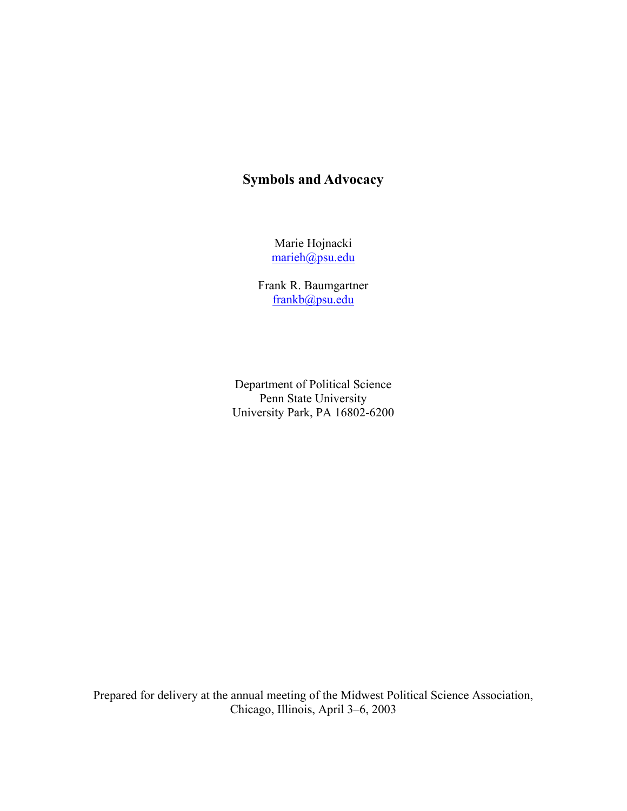# **Symbols and Advocacy**

Marie Hojnacki [marieh@psu.edu](mailto:marieh@psu.edu)

Frank R. Baumgartner [frankb@psu.edu](mailto:frankb@psu.edu)

Department of Political Science Penn State University University Park, PA 16802-6200

Prepared for delivery at the annual meeting of the Midwest Political Science Association, Chicago, Illinois, April 3–6, 2003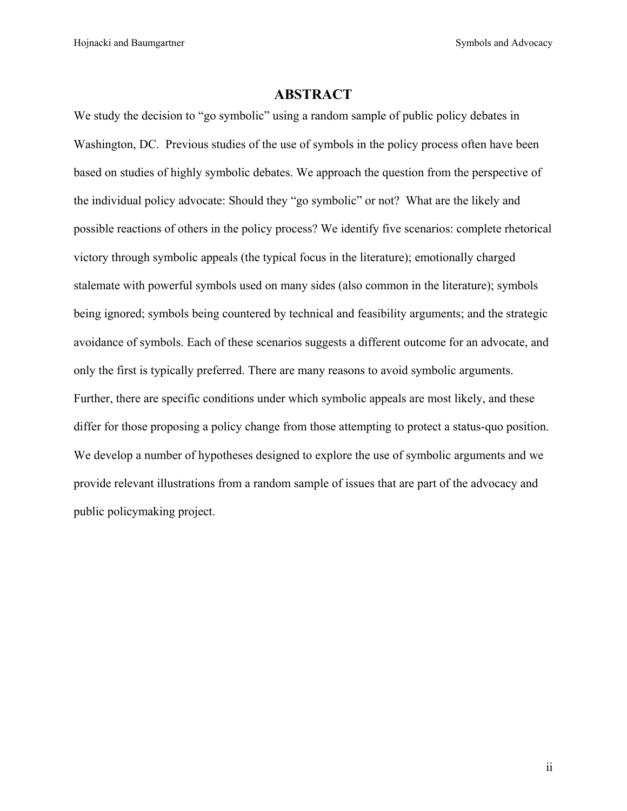Hojnacki and Baumgartner Symbols and Advocacy Symbols and Advocacy

# **ABSTRACT**

We study the decision to "go symbolic" using a random sample of public policy debates in Washington, DC. Previous studies of the use of symbols in the policy process often have been based on studies of highly symbolic debates. We approach the question from the perspective of the individual policy advocate: Should they "go symbolic" or not? What are the likely and possible reactions of others in the policy process? We identify five scenarios: complete rhetorical victory through symbolic appeals (the typical focus in the literature); emotionally charged stalemate with powerful symbols used on many sides (also common in the literature); symbols being ignored; symbols being countered by technical and feasibility arguments; and the strategic avoidance of symbols. Each of these scenarios suggests a different outcome for an advocate, and only the first is typically preferred. There are many reasons to avoid symbolic arguments. Further, there are specific conditions under which symbolic appeals are most likely, and these differ for those proposing a policy change from those attempting to protect a status-quo position. We develop a number of hypotheses designed to explore the use of symbolic arguments and we provide relevant illustrations from a random sample of issues that are part of the advocacy and public policymaking project.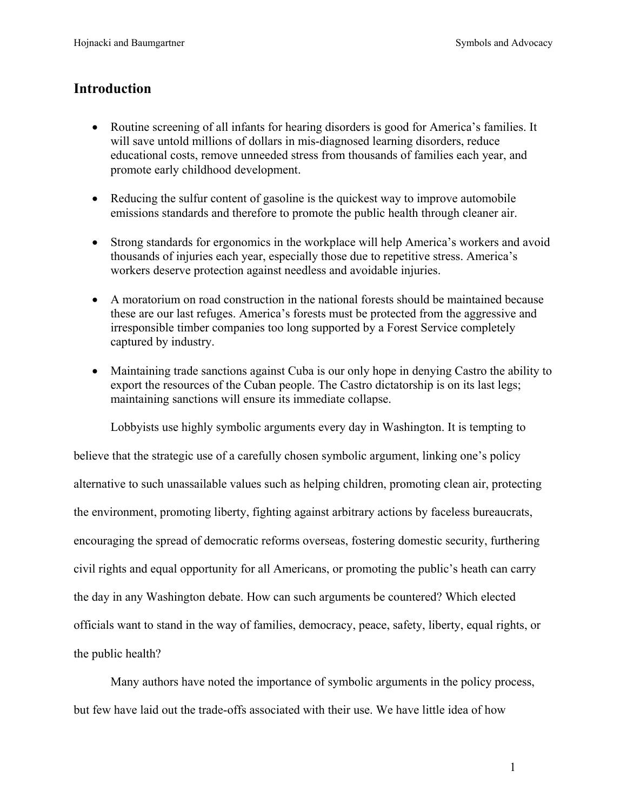# **Introduction**

- Routine screening of all infants for hearing disorders is good for America's families. It will save untold millions of dollars in mis-diagnosed learning disorders, reduce educational costs, remove unneeded stress from thousands of families each year, and promote early childhood development.
- Reducing the sulfur content of gasoline is the quickest way to improve automobile emissions standards and therefore to promote the public health through cleaner air.
- Strong standards for ergonomics in the workplace will help America's workers and avoid thousands of injuries each year, especially those due to repetitive stress. America's workers deserve protection against needless and avoidable injuries.
- A moratorium on road construction in the national forests should be maintained because these are our last refuges. America's forests must be protected from the aggressive and irresponsible timber companies too long supported by a Forest Service completely captured by industry.
- Maintaining trade sanctions against Cuba is our only hope in denying Castro the ability to export the resources of the Cuban people. The Castro dictatorship is on its last legs; maintaining sanctions will ensure its immediate collapse.

Lobbyists use highly symbolic arguments every day in Washington. It is tempting to

believe that the strategic use of a carefully chosen symbolic argument, linking one's policy alternative to such unassailable values such as helping children, promoting clean air, protecting the environment, promoting liberty, fighting against arbitrary actions by faceless bureaucrats, encouraging the spread of democratic reforms overseas, fostering domestic security, furthering civil rights and equal opportunity for all Americans, or promoting the public's heath can carry the day in any Washington debate. How can such arguments be countered? Which elected officials want to stand in the way of families, democracy, peace, safety, liberty, equal rights, or the public health?

Many authors have noted the importance of symbolic arguments in the policy process, but few have laid out the trade-offs associated with their use. We have little idea of how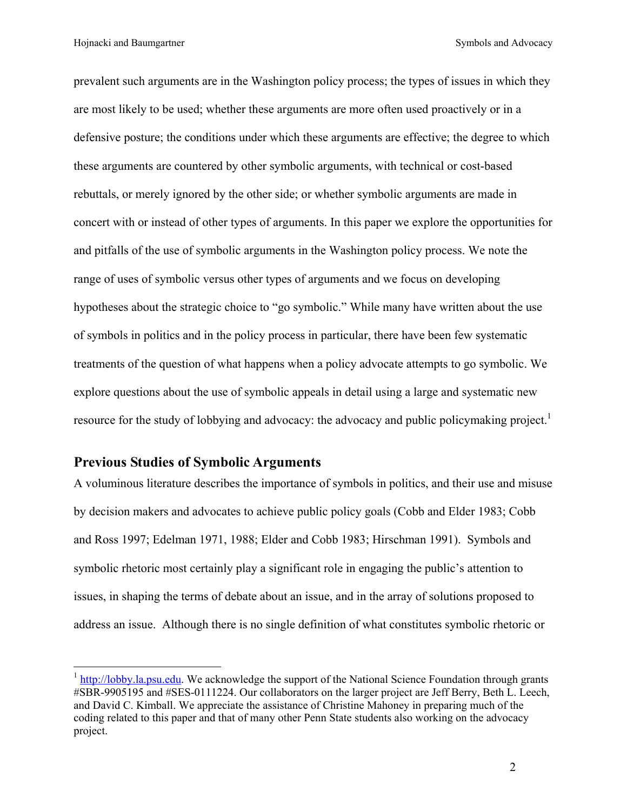Hojnacki and Baumgartner Symbols and Advocacy

prevalent such arguments are in the Washington policy process; the types of issues in which they are most likely to be used; whether these arguments are more often used proactively or in a defensive posture; the conditions under which these arguments are effective; the degree to which these arguments are countered by other symbolic arguments, with technical or cost-based rebuttals, or merely ignored by the other side; or whether symbolic arguments are made in concert with or instead of other types of arguments. In this paper we explore the opportunities for and pitfalls of the use of symbolic arguments in the Washington policy process. We note the range of uses of symbolic versus other types of arguments and we focus on developing hypotheses about the strategic choice to "go symbolic." While many have written about the use of symbols in politics and in the policy process in particular, there have been few systematic treatments of the question of what happens when a policy advocate attempts to go symbolic. We explore questions about the use of symbolic appeals in detail using a large and systematic new resource for the study of lobbying and advocacy: the advocacy and public policymaking project.<sup>[1](#page-3-0)</sup>

# **Previous Studies of Symbolic Arguments**

 $\overline{a}$ 

A voluminous literature describes the importance of symbols in politics, and their use and misuse by decision makers and advocates to achieve public policy goals (Cobb and Elder 1983; Cobb and Ross 1997; Edelman 1971, 1988; Elder and Cobb 1983; Hirschman 1991). Symbols and symbolic rhetoric most certainly play a significant role in engaging the public's attention to issues, in shaping the terms of debate about an issue, and in the array of solutions proposed to address an issue. Although there is no single definition of what constitutes symbolic rhetoric or

<span id="page-3-0"></span><sup>&</sup>lt;sup>1</sup> [http://lobby.la.psu.edu](http://lobby.la.psu.edu/). We acknowledge the support of the National Science Foundation through grants #SBR-9905195 and #SES-0111224. Our collaborators on the larger project are Jeff Berry, Beth L. Leech, and David C. Kimball. We appreciate the assistance of Christine Mahoney in preparing much of the coding related to this paper and that of many other Penn State students also working on the advocacy project.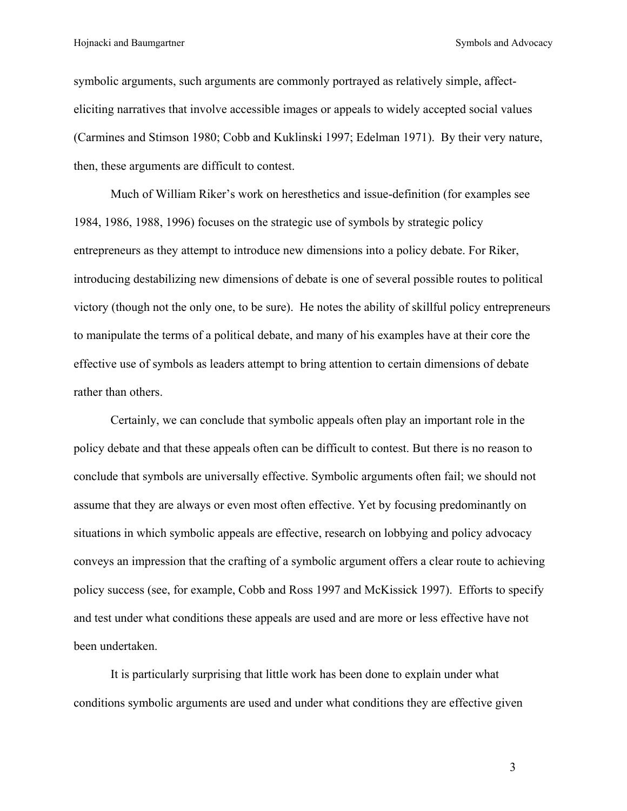symbolic arguments, such arguments are commonly portrayed as relatively simple, affecteliciting narratives that involve accessible images or appeals to widely accepted social values (Carmines and Stimson 1980; Cobb and Kuklinski 1997; Edelman 1971). By their very nature, then, these arguments are difficult to contest.

Much of William Riker's work on heresthetics and issue-definition (for examples see 1984, 1986, 1988, 1996) focuses on the strategic use of symbols by strategic policy entrepreneurs as they attempt to introduce new dimensions into a policy debate. For Riker, introducing destabilizing new dimensions of debate is one of several possible routes to political victory (though not the only one, to be sure). He notes the ability of skillful policy entrepreneurs to manipulate the terms of a political debate, and many of his examples have at their core the effective use of symbols as leaders attempt to bring attention to certain dimensions of debate rather than others.

Certainly, we can conclude that symbolic appeals often play an important role in the policy debate and that these appeals often can be difficult to contest. But there is no reason to conclude that symbols are universally effective. Symbolic arguments often fail; we should not assume that they are always or even most often effective. Yet by focusing predominantly on situations in which symbolic appeals are effective, research on lobbying and policy advocacy conveys an impression that the crafting of a symbolic argument offers a clear route to achieving policy success (see, for example, Cobb and Ross 1997 and McKissick 1997). Efforts to specify and test under what conditions these appeals are used and are more or less effective have not been undertaken.

It is particularly surprising that little work has been done to explain under what conditions symbolic arguments are used and under what conditions they are effective given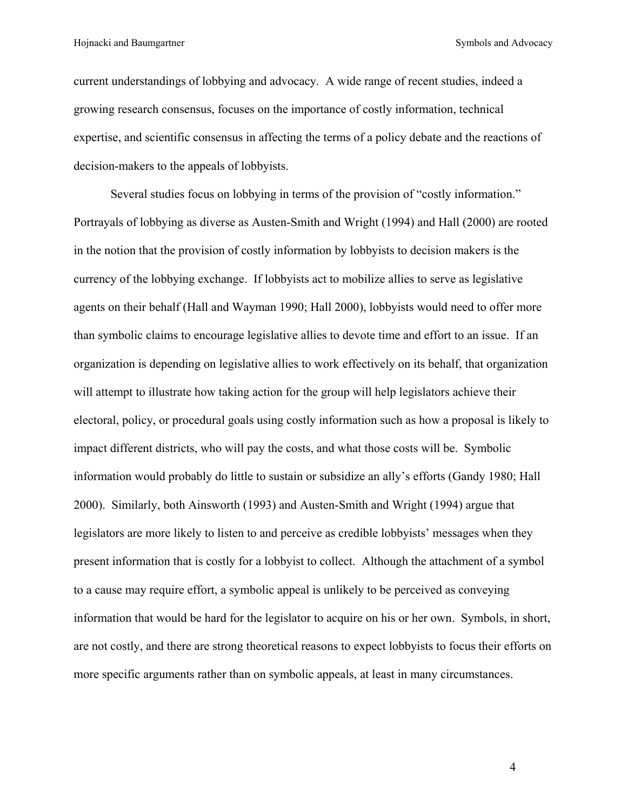Hojnacki and Baumgartner Symbols and Advocacy

current understandings of lobbying and advocacy. A wide range of recent studies, indeed a growing research consensus, focuses on the importance of costly information, technical expertise, and scientific consensus in affecting the terms of a policy debate and the reactions of decision-makers to the appeals of lobbyists.

Several studies focus on lobbying in terms of the provision of "costly information." Portrayals of lobbying as diverse as Austen-Smith and Wright (1994) and Hall (2000) are rooted in the notion that the provision of costly information by lobbyists to decision makers is the currency of the lobbying exchange. If lobbyists act to mobilize allies to serve as legislative agents on their behalf (Hall and Wayman 1990; Hall 2000), lobbyists would need to offer more than symbolic claims to encourage legislative allies to devote time and effort to an issue. If an organization is depending on legislative allies to work effectively on its behalf, that organization will attempt to illustrate how taking action for the group will help legislators achieve their electoral, policy, or procedural goals using costly information such as how a proposal is likely to impact different districts, who will pay the costs, and what those costs will be. Symbolic information would probably do little to sustain or subsidize an ally's efforts (Gandy 1980; Hall 2000). Similarly, both Ainsworth (1993) and Austen-Smith and Wright (1994) argue that legislators are more likely to listen to and perceive as credible lobbyists' messages when they present information that is costly for a lobbyist to collect. Although the attachment of a symbol to a cause may require effort, a symbolic appeal is unlikely to be perceived as conveying information that would be hard for the legislator to acquire on his or her own. Symbols, in short, are not costly, and there are strong theoretical reasons to expect lobbyists to focus their efforts on more specific arguments rather than on symbolic appeals, at least in many circumstances.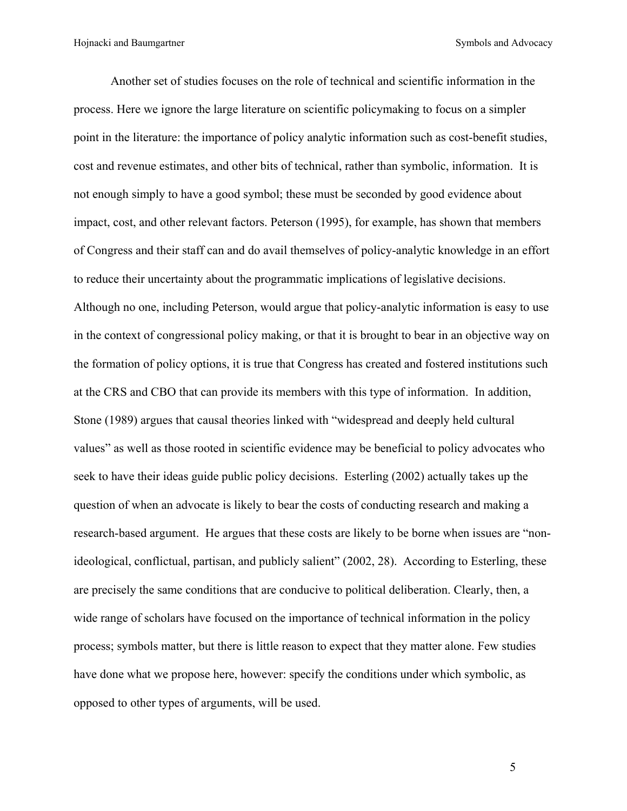Another set of studies focuses on the role of technical and scientific information in the process. Here we ignore the large literature on scientific policymaking to focus on a simpler point in the literature: the importance of policy analytic information such as cost-benefit studies, cost and revenue estimates, and other bits of technical, rather than symbolic, information. It is not enough simply to have a good symbol; these must be seconded by good evidence about impact, cost, and other relevant factors. Peterson (1995), for example, has shown that members of Congress and their staff can and do avail themselves of policy-analytic knowledge in an effort to reduce their uncertainty about the programmatic implications of legislative decisions. Although no one, including Peterson, would argue that policy-analytic information is easy to use in the context of congressional policy making, or that it is brought to bear in an objective way on the formation of policy options, it is true that Congress has created and fostered institutions such at the CRS and CBO that can provide its members with this type of information. In addition, Stone (1989) argues that causal theories linked with "widespread and deeply held cultural values" as well as those rooted in scientific evidence may be beneficial to policy advocates who seek to have their ideas guide public policy decisions. Esterling (2002) actually takes up the question of when an advocate is likely to bear the costs of conducting research and making a research-based argument. He argues that these costs are likely to be borne when issues are "nonideological, conflictual, partisan, and publicly salient" (2002, 28). According to Esterling, these are precisely the same conditions that are conducive to political deliberation. Clearly, then, a wide range of scholars have focused on the importance of technical information in the policy process; symbols matter, but there is little reason to expect that they matter alone. Few studies have done what we propose here, however: specify the conditions under which symbolic, as opposed to other types of arguments, will be used.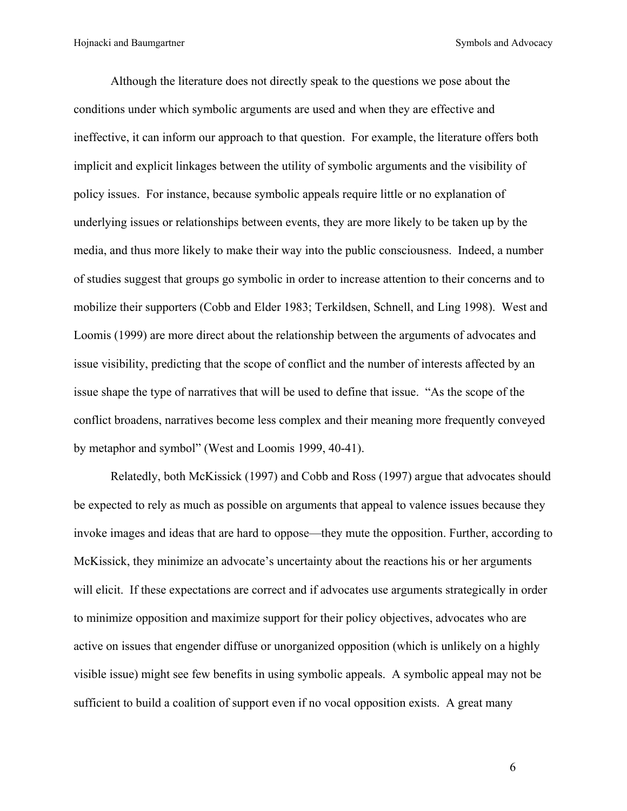Although the literature does not directly speak to the questions we pose about the conditions under which symbolic arguments are used and when they are effective and ineffective, it can inform our approach to that question. For example, the literature offers both implicit and explicit linkages between the utility of symbolic arguments and the visibility of policy issues. For instance, because symbolic appeals require little or no explanation of underlying issues or relationships between events, they are more likely to be taken up by the media, and thus more likely to make their way into the public consciousness. Indeed, a number of studies suggest that groups go symbolic in order to increase attention to their concerns and to mobilize their supporters (Cobb and Elder 1983; Terkildsen, Schnell, and Ling 1998). West and Loomis (1999) are more direct about the relationship between the arguments of advocates and issue visibility, predicting that the scope of conflict and the number of interests affected by an issue shape the type of narratives that will be used to define that issue. "As the scope of the conflict broadens, narratives become less complex and their meaning more frequently conveyed by metaphor and symbol" (West and Loomis 1999, 40-41).

Relatedly, both McKissick (1997) and Cobb and Ross (1997) argue that advocates should be expected to rely as much as possible on arguments that appeal to valence issues because they invoke images and ideas that are hard to oppose—they mute the opposition. Further, according to McKissick, they minimize an advocate's uncertainty about the reactions his or her arguments will elicit. If these expectations are correct and if advocates use arguments strategically in order to minimize opposition and maximize support for their policy objectives, advocates who are active on issues that engender diffuse or unorganized opposition (which is unlikely on a highly visible issue) might see few benefits in using symbolic appeals. A symbolic appeal may not be sufficient to build a coalition of support even if no vocal opposition exists. A great many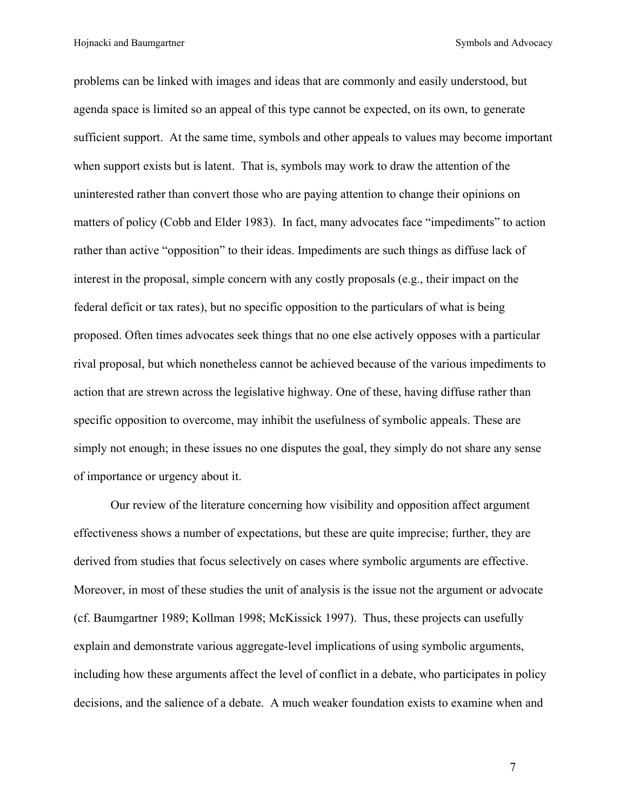Hojnacki and Baumgartner Symbols and Advocacy

problems can be linked with images and ideas that are commonly and easily understood, but agenda space is limited so an appeal of this type cannot be expected, on its own, to generate sufficient support. At the same time, symbols and other appeals to values may become important when support exists but is latent. That is, symbols may work to draw the attention of the uninterested rather than convert those who are paying attention to change their opinions on matters of policy (Cobb and Elder 1983). In fact, many advocates face "impediments" to action rather than active "opposition" to their ideas. Impediments are such things as diffuse lack of interest in the proposal, simple concern with any costly proposals (e.g., their impact on the federal deficit or tax rates), but no specific opposition to the particulars of what is being proposed. Often times advocates seek things that no one else actively opposes with a particular rival proposal, but which nonetheless cannot be achieved because of the various impediments to action that are strewn across the legislative highway. One of these, having diffuse rather than specific opposition to overcome, may inhibit the usefulness of symbolic appeals. These are simply not enough; in these issues no one disputes the goal, they simply do not share any sense of importance or urgency about it.

Our review of the literature concerning how visibility and opposition affect argument effectiveness shows a number of expectations, but these are quite imprecise; further, they are derived from studies that focus selectively on cases where symbolic arguments are effective. Moreover, in most of these studies the unit of analysis is the issue not the argument or advocate (cf. Baumgartner 1989; Kollman 1998; McKissick 1997). Thus, these projects can usefully explain and demonstrate various aggregate-level implications of using symbolic arguments, including how these arguments affect the level of conflict in a debate, who participates in policy decisions, and the salience of a debate. A much weaker foundation exists to examine when and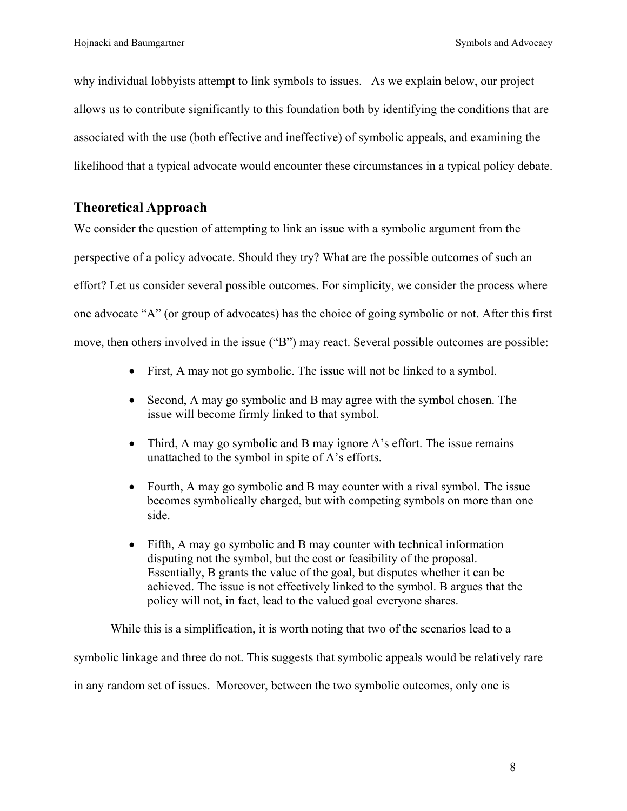why individual lobbyists attempt to link symbols to issues. As we explain below, our project allows us to contribute significantly to this foundation both by identifying the conditions that are associated with the use (both effective and ineffective) of symbolic appeals, and examining the likelihood that a typical advocate would encounter these circumstances in a typical policy debate.

# **Theoretical Approach**

We consider the question of attempting to link an issue with a symbolic argument from the perspective of a policy advocate. Should they try? What are the possible outcomes of such an effort? Let us consider several possible outcomes. For simplicity, we consider the process where one advocate "A" (or group of advocates) has the choice of going symbolic or not. After this first move, then others involved in the issue ("B") may react. Several possible outcomes are possible:

- First, A may not go symbolic. The issue will not be linked to a symbol.
- Second, A may go symbolic and B may agree with the symbol chosen. The issue will become firmly linked to that symbol.
- Third, A may go symbolic and B may ignore A's effort. The issue remains unattached to the symbol in spite of A's efforts.
- Fourth, A may go symbolic and B may counter with a rival symbol. The issue becomes symbolically charged, but with competing symbols on more than one side.
- Fifth, A may go symbolic and B may counter with technical information disputing not the symbol, but the cost or feasibility of the proposal. Essentially, B grants the value of the goal, but disputes whether it can be achieved. The issue is not effectively linked to the symbol. B argues that the policy will not, in fact, lead to the valued goal everyone shares.

While this is a simplification, it is worth noting that two of the scenarios lead to a

symbolic linkage and three do not. This suggests that symbolic appeals would be relatively rare

in any random set of issues. Moreover, between the two symbolic outcomes, only one is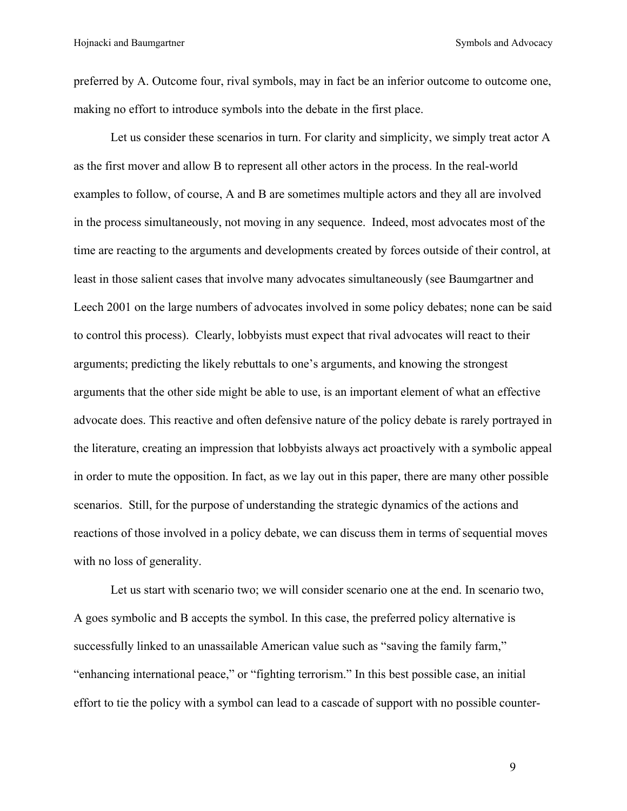preferred by A. Outcome four, rival symbols, may in fact be an inferior outcome to outcome one, making no effort to introduce symbols into the debate in the first place.

Let us consider these scenarios in turn. For clarity and simplicity, we simply treat actor A as the first mover and allow B to represent all other actors in the process. In the real-world examples to follow, of course, A and B are sometimes multiple actors and they all are involved in the process simultaneously, not moving in any sequence. Indeed, most advocates most of the time are reacting to the arguments and developments created by forces outside of their control, at least in those salient cases that involve many advocates simultaneously (see Baumgartner and Leech 2001 on the large numbers of advocates involved in some policy debates; none can be said to control this process). Clearly, lobbyists must expect that rival advocates will react to their arguments; predicting the likely rebuttals to one's arguments, and knowing the strongest arguments that the other side might be able to use, is an important element of what an effective advocate does. This reactive and often defensive nature of the policy debate is rarely portrayed in the literature, creating an impression that lobbyists always act proactively with a symbolic appeal in order to mute the opposition. In fact, as we lay out in this paper, there are many other possible scenarios. Still, for the purpose of understanding the strategic dynamics of the actions and reactions of those involved in a policy debate, we can discuss them in terms of sequential moves with no loss of generality.

Let us start with scenario two; we will consider scenario one at the end. In scenario two, A goes symbolic and B accepts the symbol. In this case, the preferred policy alternative is successfully linked to an unassailable American value such as "saving the family farm," "enhancing international peace," or "fighting terrorism." In this best possible case, an initial effort to tie the policy with a symbol can lead to a cascade of support with no possible counter-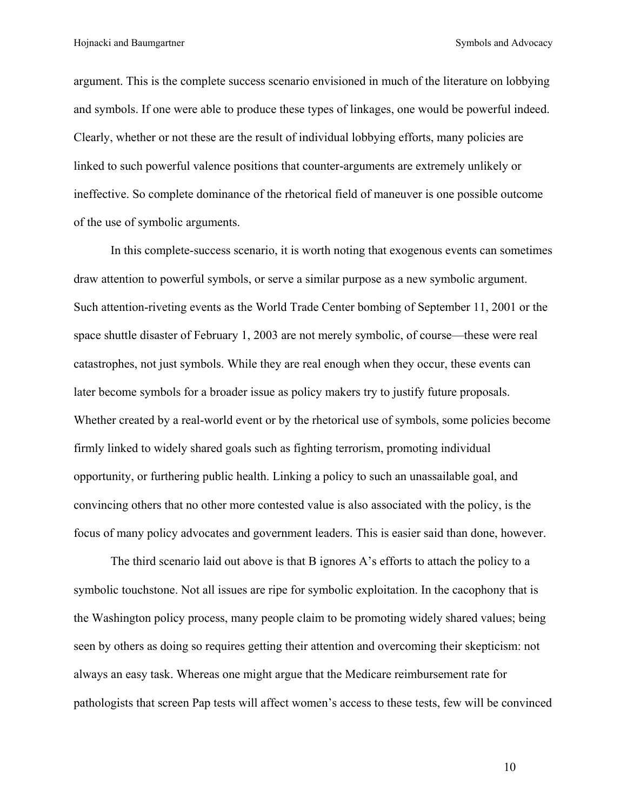argument. This is the complete success scenario envisioned in much of the literature on lobbying and symbols. If one were able to produce these types of linkages, one would be powerful indeed. Clearly, whether or not these are the result of individual lobbying efforts, many policies are linked to such powerful valence positions that counter-arguments are extremely unlikely or ineffective. So complete dominance of the rhetorical field of maneuver is one possible outcome of the use of symbolic arguments.

In this complete-success scenario, it is worth noting that exogenous events can sometimes draw attention to powerful symbols, or serve a similar purpose as a new symbolic argument. Such attention-riveting events as the World Trade Center bombing of September 11, 2001 or the space shuttle disaster of February 1, 2003 are not merely symbolic, of course—these were real catastrophes, not just symbols. While they are real enough when they occur, these events can later become symbols for a broader issue as policy makers try to justify future proposals. Whether created by a real-world event or by the rhetorical use of symbols, some policies become firmly linked to widely shared goals such as fighting terrorism, promoting individual opportunity, or furthering public health. Linking a policy to such an unassailable goal, and convincing others that no other more contested value is also associated with the policy, is the focus of many policy advocates and government leaders. This is easier said than done, however.

The third scenario laid out above is that B ignores A's efforts to attach the policy to a symbolic touchstone. Not all issues are ripe for symbolic exploitation. In the cacophony that is the Washington policy process, many people claim to be promoting widely shared values; being seen by others as doing so requires getting their attention and overcoming their skepticism: not always an easy task. Whereas one might argue that the Medicare reimbursement rate for pathologists that screen Pap tests will affect women's access to these tests, few will be convinced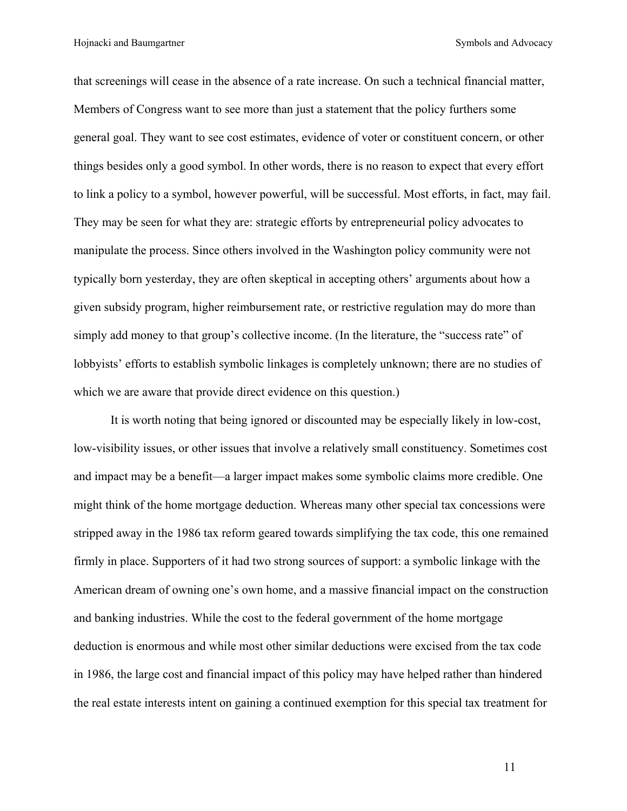that screenings will cease in the absence of a rate increase. On such a technical financial matter, Members of Congress want to see more than just a statement that the policy furthers some general goal. They want to see cost estimates, evidence of voter or constituent concern, or other things besides only a good symbol. In other words, there is no reason to expect that every effort to link a policy to a symbol, however powerful, will be successful. Most efforts, in fact, may fail. They may be seen for what they are: strategic efforts by entrepreneurial policy advocates to manipulate the process. Since others involved in the Washington policy community were not typically born yesterday, they are often skeptical in accepting others' arguments about how a given subsidy program, higher reimbursement rate, or restrictive regulation may do more than simply add money to that group's collective income. (In the literature, the "success rate" of lobbyists' efforts to establish symbolic linkages is completely unknown; there are no studies of which we are aware that provide direct evidence on this question.)

It is worth noting that being ignored or discounted may be especially likely in low-cost, low-visibility issues, or other issues that involve a relatively small constituency. Sometimes cost and impact may be a benefit—a larger impact makes some symbolic claims more credible. One might think of the home mortgage deduction. Whereas many other special tax concessions were stripped away in the 1986 tax reform geared towards simplifying the tax code, this one remained firmly in place. Supporters of it had two strong sources of support: a symbolic linkage with the American dream of owning one's own home, and a massive financial impact on the construction and banking industries. While the cost to the federal government of the home mortgage deduction is enormous and while most other similar deductions were excised from the tax code in 1986, the large cost and financial impact of this policy may have helped rather than hindered the real estate interests intent on gaining a continued exemption for this special tax treatment for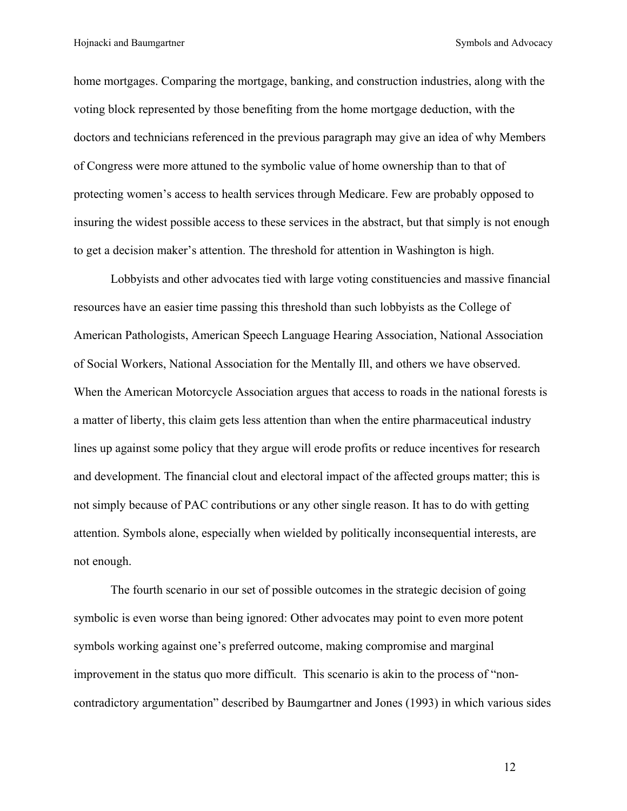home mortgages. Comparing the mortgage, banking, and construction industries, along with the voting block represented by those benefiting from the home mortgage deduction, with the doctors and technicians referenced in the previous paragraph may give an idea of why Members of Congress were more attuned to the symbolic value of home ownership than to that of protecting women's access to health services through Medicare. Few are probably opposed to insuring the widest possible access to these services in the abstract, but that simply is not enough to get a decision maker's attention. The threshold for attention in Washington is high.

Lobbyists and other advocates tied with large voting constituencies and massive financial resources have an easier time passing this threshold than such lobbyists as the College of American Pathologists, American Speech Language Hearing Association, National Association of Social Workers, National Association for the Mentally Ill, and others we have observed. When the American Motorcycle Association argues that access to roads in the national forests is a matter of liberty, this claim gets less attention than when the entire pharmaceutical industry lines up against some policy that they argue will erode profits or reduce incentives for research and development. The financial clout and electoral impact of the affected groups matter; this is not simply because of PAC contributions or any other single reason. It has to do with getting attention. Symbols alone, especially when wielded by politically inconsequential interests, are not enough.

The fourth scenario in our set of possible outcomes in the strategic decision of going symbolic is even worse than being ignored: Other advocates may point to even more potent symbols working against one's preferred outcome, making compromise and marginal improvement in the status quo more difficult. This scenario is akin to the process of "noncontradictory argumentation" described by Baumgartner and Jones (1993) in which various sides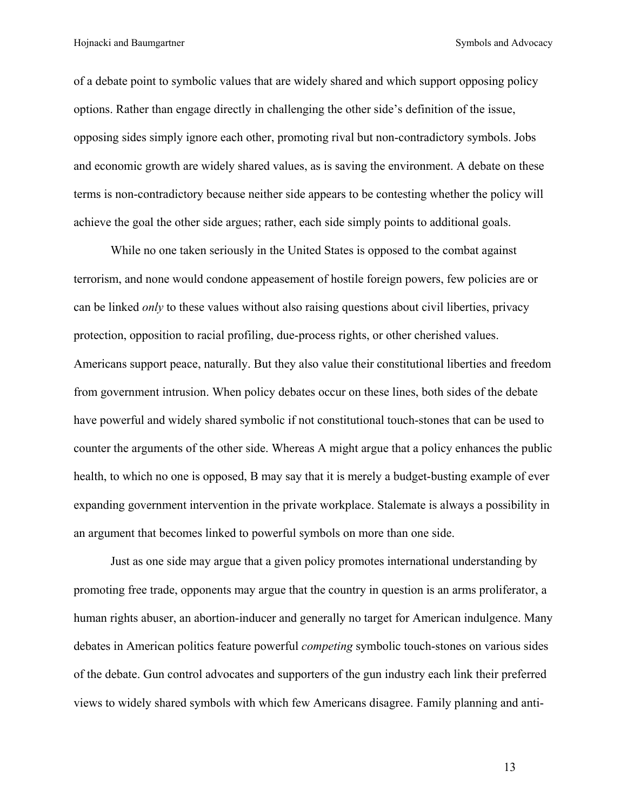of a debate point to symbolic values that are widely shared and which support opposing policy options. Rather than engage directly in challenging the other side's definition of the issue, opposing sides simply ignore each other, promoting rival but non-contradictory symbols. Jobs and economic growth are widely shared values, as is saving the environment. A debate on these terms is non-contradictory because neither side appears to be contesting whether the policy will achieve the goal the other side argues; rather, each side simply points to additional goals.

While no one taken seriously in the United States is opposed to the combat against terrorism, and none would condone appeasement of hostile foreign powers, few policies are or can be linked *only* to these values without also raising questions about civil liberties, privacy protection, opposition to racial profiling, due-process rights, or other cherished values. Americans support peace, naturally. But they also value their constitutional liberties and freedom from government intrusion. When policy debates occur on these lines, both sides of the debate have powerful and widely shared symbolic if not constitutional touch-stones that can be used to counter the arguments of the other side. Whereas A might argue that a policy enhances the public health, to which no one is opposed, B may say that it is merely a budget-busting example of ever expanding government intervention in the private workplace. Stalemate is always a possibility in an argument that becomes linked to powerful symbols on more than one side.

Just as one side may argue that a given policy promotes international understanding by promoting free trade, opponents may argue that the country in question is an arms proliferator, a human rights abuser, an abortion-inducer and generally no target for American indulgence. Many debates in American politics feature powerful *competing* symbolic touch-stones on various sides of the debate. Gun control advocates and supporters of the gun industry each link their preferred views to widely shared symbols with which few Americans disagree. Family planning and anti-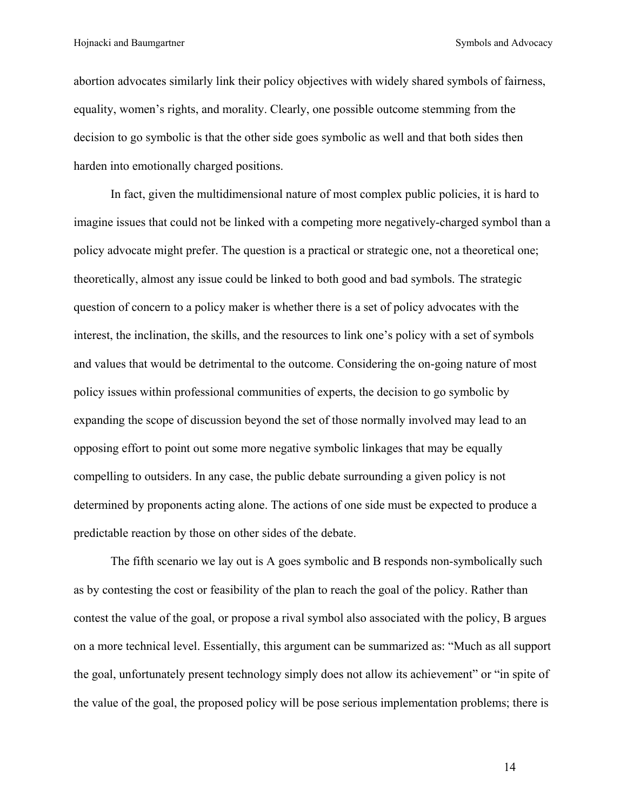abortion advocates similarly link their policy objectives with widely shared symbols of fairness, equality, women's rights, and morality. Clearly, one possible outcome stemming from the decision to go symbolic is that the other side goes symbolic as well and that both sides then harden into emotionally charged positions.

In fact, given the multidimensional nature of most complex public policies, it is hard to imagine issues that could not be linked with a competing more negatively-charged symbol than a policy advocate might prefer. The question is a practical or strategic one, not a theoretical one; theoretically, almost any issue could be linked to both good and bad symbols. The strategic question of concern to a policy maker is whether there is a set of policy advocates with the interest, the inclination, the skills, and the resources to link one's policy with a set of symbols and values that would be detrimental to the outcome. Considering the on-going nature of most policy issues within professional communities of experts, the decision to go symbolic by expanding the scope of discussion beyond the set of those normally involved may lead to an opposing effort to point out some more negative symbolic linkages that may be equally compelling to outsiders. In any case, the public debate surrounding a given policy is not determined by proponents acting alone. The actions of one side must be expected to produce a predictable reaction by those on other sides of the debate.

The fifth scenario we lay out is A goes symbolic and B responds non-symbolically such as by contesting the cost or feasibility of the plan to reach the goal of the policy. Rather than contest the value of the goal, or propose a rival symbol also associated with the policy, B argues on a more technical level. Essentially, this argument can be summarized as: "Much as all support the goal, unfortunately present technology simply does not allow its achievement" or "in spite of the value of the goal, the proposed policy will be pose serious implementation problems; there is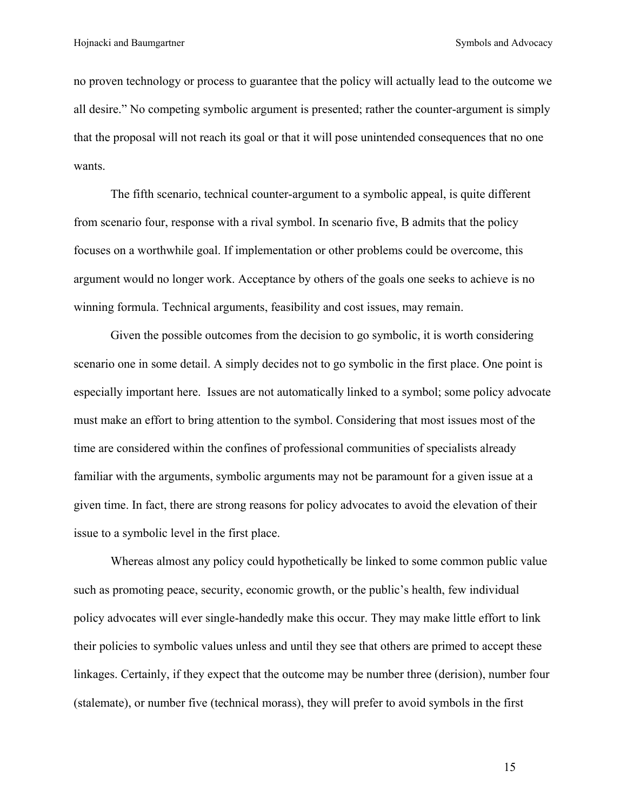no proven technology or process to guarantee that the policy will actually lead to the outcome we all desire." No competing symbolic argument is presented; rather the counter-argument is simply that the proposal will not reach its goal or that it will pose unintended consequences that no one wants.

The fifth scenario, technical counter-argument to a symbolic appeal, is quite different from scenario four, response with a rival symbol. In scenario five, B admits that the policy focuses on a worthwhile goal. If implementation or other problems could be overcome, this argument would no longer work. Acceptance by others of the goals one seeks to achieve is no winning formula. Technical arguments, feasibility and cost issues, may remain.

Given the possible outcomes from the decision to go symbolic, it is worth considering scenario one in some detail. A simply decides not to go symbolic in the first place. One point is especially important here. Issues are not automatically linked to a symbol; some policy advocate must make an effort to bring attention to the symbol. Considering that most issues most of the time are considered within the confines of professional communities of specialists already familiar with the arguments, symbolic arguments may not be paramount for a given issue at a given time. In fact, there are strong reasons for policy advocates to avoid the elevation of their issue to a symbolic level in the first place.

Whereas almost any policy could hypothetically be linked to some common public value such as promoting peace, security, economic growth, or the public's health, few individual policy advocates will ever single-handedly make this occur. They may make little effort to link their policies to symbolic values unless and until they see that others are primed to accept these linkages. Certainly, if they expect that the outcome may be number three (derision), number four (stalemate), or number five (technical morass), they will prefer to avoid symbols in the first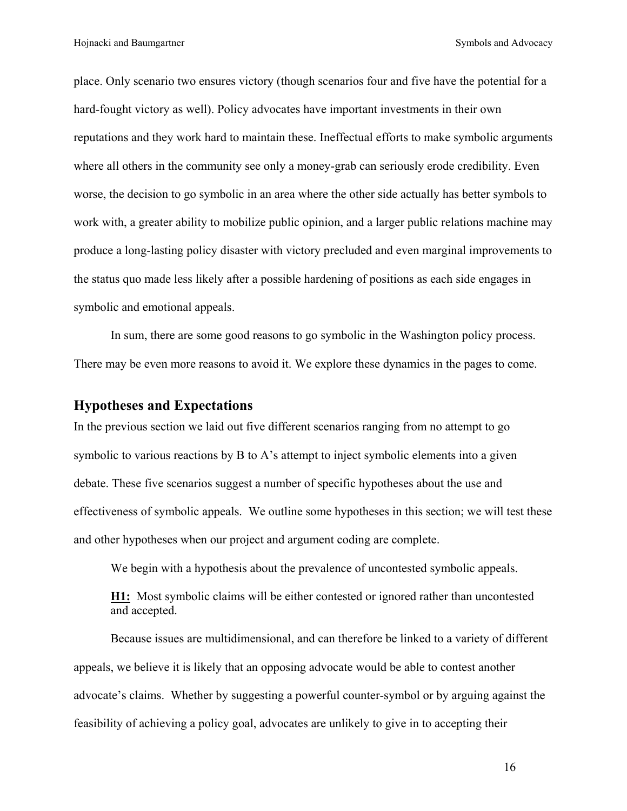place. Only scenario two ensures victory (though scenarios four and five have the potential for a hard-fought victory as well). Policy advocates have important investments in their own reputations and they work hard to maintain these. Ineffectual efforts to make symbolic arguments where all others in the community see only a money-grab can seriously erode credibility. Even worse, the decision to go symbolic in an area where the other side actually has better symbols to work with, a greater ability to mobilize public opinion, and a larger public relations machine may produce a long-lasting policy disaster with victory precluded and even marginal improvements to the status quo made less likely after a possible hardening of positions as each side engages in symbolic and emotional appeals.

In sum, there are some good reasons to go symbolic in the Washington policy process. There may be even more reasons to avoid it. We explore these dynamics in the pages to come.

#### **Hypotheses and Expectations**

In the previous section we laid out five different scenarios ranging from no attempt to go symbolic to various reactions by B to A's attempt to inject symbolic elements into a given debate. These five scenarios suggest a number of specific hypotheses about the use and effectiveness of symbolic appeals. We outline some hypotheses in this section; we will test these and other hypotheses when our project and argument coding are complete.

We begin with a hypothesis about the prevalence of uncontested symbolic appeals.

**H1:** Most symbolic claims will be either contested or ignored rather than uncontested and accepted.

Because issues are multidimensional, and can therefore be linked to a variety of different appeals, we believe it is likely that an opposing advocate would be able to contest another advocate's claims. Whether by suggesting a powerful counter-symbol or by arguing against the feasibility of achieving a policy goal, advocates are unlikely to give in to accepting their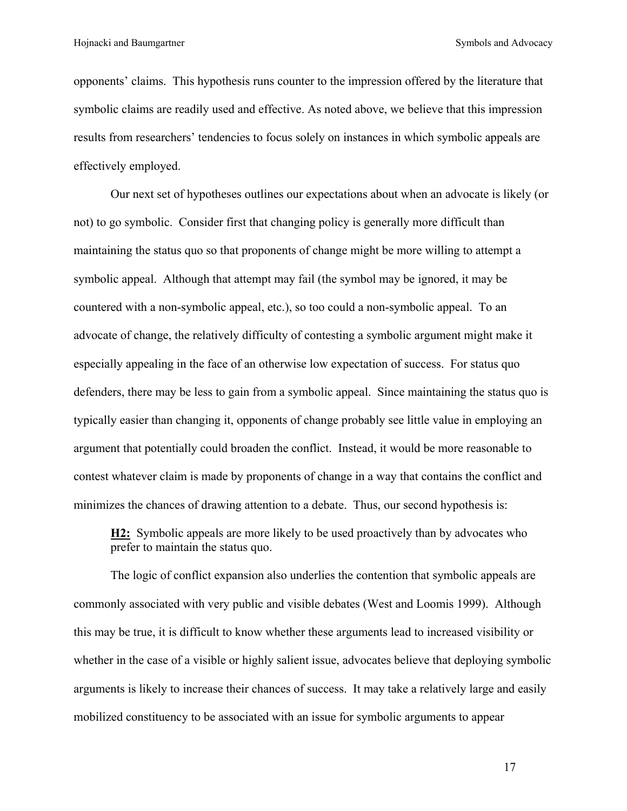opponents' claims. This hypothesis runs counter to the impression offered by the literature that symbolic claims are readily used and effective. As noted above, we believe that this impression results from researchers' tendencies to focus solely on instances in which symbolic appeals are effectively employed.

Our next set of hypotheses outlines our expectations about when an advocate is likely (or not) to go symbolic. Consider first that changing policy is generally more difficult than maintaining the status quo so that proponents of change might be more willing to attempt a symbolic appeal. Although that attempt may fail (the symbol may be ignored, it may be countered with a non-symbolic appeal, etc.), so too could a non-symbolic appeal. To an advocate of change, the relatively difficulty of contesting a symbolic argument might make it especially appealing in the face of an otherwise low expectation of success. For status quo defenders, there may be less to gain from a symbolic appeal. Since maintaining the status quo is typically easier than changing it, opponents of change probably see little value in employing an argument that potentially could broaden the conflict. Instead, it would be more reasonable to contest whatever claim is made by proponents of change in a way that contains the conflict and minimizes the chances of drawing attention to a debate. Thus, our second hypothesis is:

**H2:** Symbolic appeals are more likely to be used proactively than by advocates who prefer to maintain the status quo.

The logic of conflict expansion also underlies the contention that symbolic appeals are commonly associated with very public and visible debates (West and Loomis 1999). Although this may be true, it is difficult to know whether these arguments lead to increased visibility or whether in the case of a visible or highly salient issue, advocates believe that deploying symbolic arguments is likely to increase their chances of success. It may take a relatively large and easily mobilized constituency to be associated with an issue for symbolic arguments to appear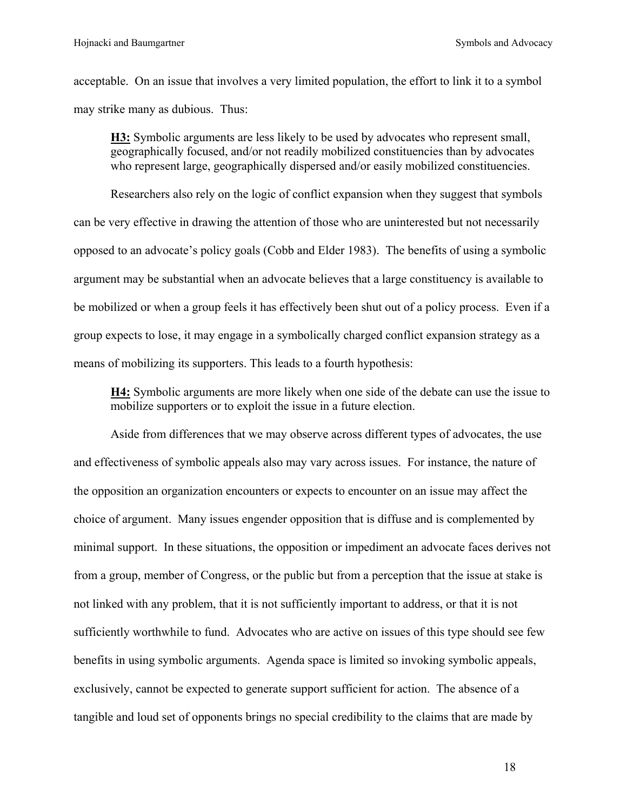acceptable. On an issue that involves a very limited population, the effort to link it to a symbol may strike many as dubious. Thus:

**H3:** Symbolic arguments are less likely to be used by advocates who represent small, geographically focused, and/or not readily mobilized constituencies than by advocates who represent large, geographically dispersed and/or easily mobilized constituencies.

Researchers also rely on the logic of conflict expansion when they suggest that symbols can be very effective in drawing the attention of those who are uninterested but not necessarily opposed to an advocate's policy goals (Cobb and Elder 1983). The benefits of using a symbolic argument may be substantial when an advocate believes that a large constituency is available to be mobilized or when a group feels it has effectively been shut out of a policy process. Even if a group expects to lose, it may engage in a symbolically charged conflict expansion strategy as a means of mobilizing its supporters. This leads to a fourth hypothesis:

**H4:** Symbolic arguments are more likely when one side of the debate can use the issue to mobilize supporters or to exploit the issue in a future election.

Aside from differences that we may observe across different types of advocates, the use and effectiveness of symbolic appeals also may vary across issues. For instance, the nature of the opposition an organization encounters or expects to encounter on an issue may affect the choice of argument. Many issues engender opposition that is diffuse and is complemented by minimal support. In these situations, the opposition or impediment an advocate faces derives not from a group, member of Congress, or the public but from a perception that the issue at stake is not linked with any problem, that it is not sufficiently important to address, or that it is not sufficiently worthwhile to fund. Advocates who are active on issues of this type should see few benefits in using symbolic arguments. Agenda space is limited so invoking symbolic appeals, exclusively, cannot be expected to generate support sufficient for action. The absence of a tangible and loud set of opponents brings no special credibility to the claims that are made by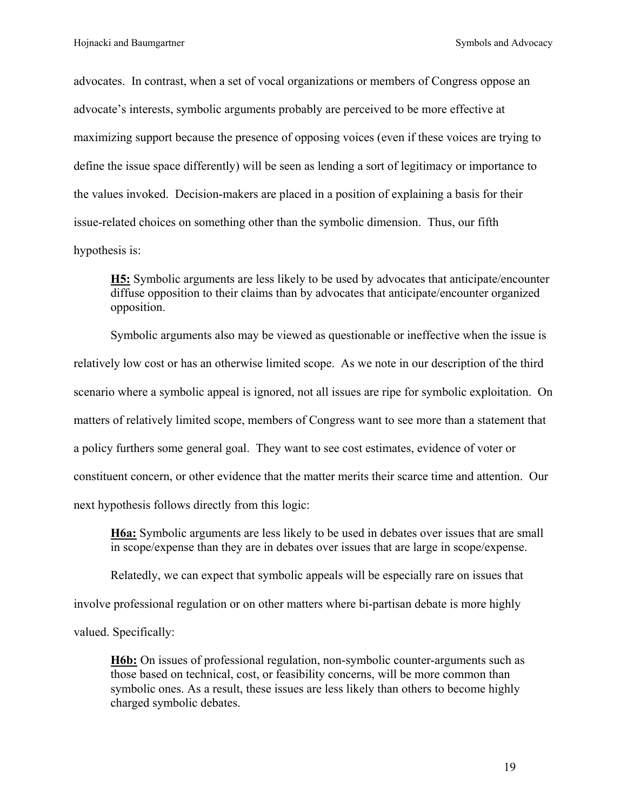advocates. In contrast, when a set of vocal organizations or members of Congress oppose an advocate's interests, symbolic arguments probably are perceived to be more effective at maximizing support because the presence of opposing voices (even if these voices are trying to define the issue space differently) will be seen as lending a sort of legitimacy or importance to the values invoked. Decision-makers are placed in a position of explaining a basis for their issue-related choices on something other than the symbolic dimension. Thus, our fifth hypothesis is:

**H5:** Symbolic arguments are less likely to be used by advocates that anticipate/encounter diffuse opposition to their claims than by advocates that anticipate/encounter organized opposition.

Symbolic arguments also may be viewed as questionable or ineffective when the issue is relatively low cost or has an otherwise limited scope. As we note in our description of the third scenario where a symbolic appeal is ignored, not all issues are ripe for symbolic exploitation. On matters of relatively limited scope, members of Congress want to see more than a statement that a policy furthers some general goal. They want to see cost estimates, evidence of voter or constituent concern, or other evidence that the matter merits their scarce time and attention. Our next hypothesis follows directly from this logic:

**H6a:** Symbolic arguments are less likely to be used in debates over issues that are small in scope/expense than they are in debates over issues that are large in scope/expense.

Relatedly, we can expect that symbolic appeals will be especially rare on issues that involve professional regulation or on other matters where bi-partisan debate is more highly valued. Specifically:

**H6b:** On issues of professional regulation, non-symbolic counter-arguments such as those based on technical, cost, or feasibility concerns, will be more common than symbolic ones. As a result, these issues are less likely than others to become highly charged symbolic debates.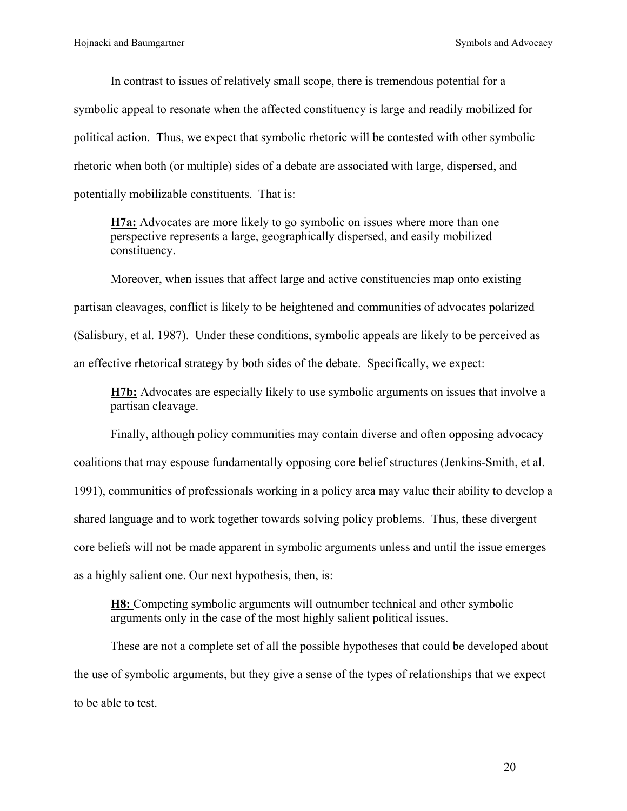In contrast to issues of relatively small scope, there is tremendous potential for a symbolic appeal to resonate when the affected constituency is large and readily mobilized for political action. Thus, we expect that symbolic rhetoric will be contested with other symbolic rhetoric when both (or multiple) sides of a debate are associated with large, dispersed, and potentially mobilizable constituents. That is:

**H7a:** Advocates are more likely to go symbolic on issues where more than one perspective represents a large, geographically dispersed, and easily mobilized constituency.

Moreover, when issues that affect large and active constituencies map onto existing partisan cleavages, conflict is likely to be heightened and communities of advocates polarized (Salisbury, et al. 1987). Under these conditions, symbolic appeals are likely to be perceived as an effective rhetorical strategy by both sides of the debate. Specifically, we expect:

**H7b:** Advocates are especially likely to use symbolic arguments on issues that involve a partisan cleavage.

Finally, although policy communities may contain diverse and often opposing advocacy coalitions that may espouse fundamentally opposing core belief structures (Jenkins-Smith, et al. 1991), communities of professionals working in a policy area may value their ability to develop a shared language and to work together towards solving policy problems. Thus, these divergent core beliefs will not be made apparent in symbolic arguments unless and until the issue emerges as a highly salient one. Our next hypothesis, then, is:

**H8:** Competing symbolic arguments will outnumber technical and other symbolic arguments only in the case of the most highly salient political issues.

These are not a complete set of all the possible hypotheses that could be developed about the use of symbolic arguments, but they give a sense of the types of relationships that we expect to be able to test.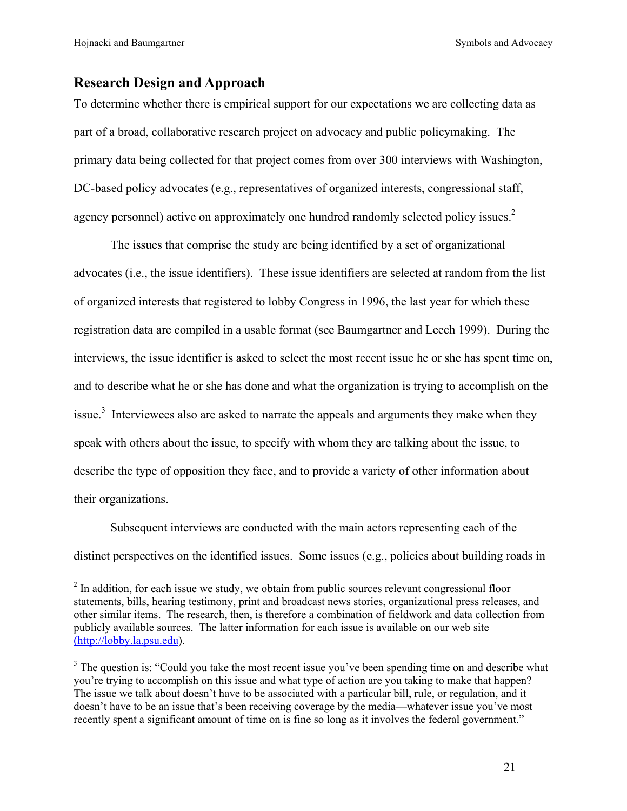Hojnacki and Baumgartner Symbols and Advocacy

# **Research Design and Approach**

To determine whether there is empirical support for our expectations we are collecting data as part of a broad, collaborative research project on advocacy and public policymaking. The primary data being collected for that project comes from over 300 interviews with Washington, DC-based policy advocates (e.g., representatives of organized interests, congressional staff, agency personnel) active on approximately one hundred randomly selected policy issues.<sup>[2](#page-22-0)</sup>

The issues that comprise the study are being identified by a set of organizational advocates (i.e., the issue identifiers). These issue identifiers are selected at random from the list of organized interests that registered to lobby Congress in 1996, the last year for which these registration data are compiled in a usable format (see Baumgartner and Leech 1999). During the interviews, the issue identifier is asked to select the most recent issue he or she has spent time on, and to describe what he or she has done and what the organization is trying to accomplish on the issue.<sup>3</sup> Interviewees also are asked to narrate the appeals and arguments they make when they speak with others about the issue, to specify with whom they are talking about the issue, to describe the type of opposition they face, and to provide a variety of other information about their organizations.

Subsequent interviews are conducted with the main actors representing each of the distinct perspectives on the identified issues. Some issues (e.g., policies about building roads in

<span id="page-22-0"></span><sup>&</sup>lt;sup>2</sup> In addition, for each issue we study, we obtain from public sources relevant congressional floor statements, bills, hearing testimony, print and broadcast news stories, organizational press releases, and other similar items. The research, then, is therefore a combination of fieldwork and data collection from publicly available sources. The latter information for each issue is available on our web site (http://lobby.la.psu.edu).

<span id="page-22-1"></span> $3$  The question is: "Could you take the most recent issue you've been spending time on and describe what you're trying to accomplish on this issue and what type of action are you taking to make that happen? The issue we talk about doesn't have to be associated with a particular bill, rule, or regulation, and it doesn't have to be an issue that's been receiving coverage by the media—whatever issue you've most recently spent a significant amount of time on is fine so long as it involves the federal government."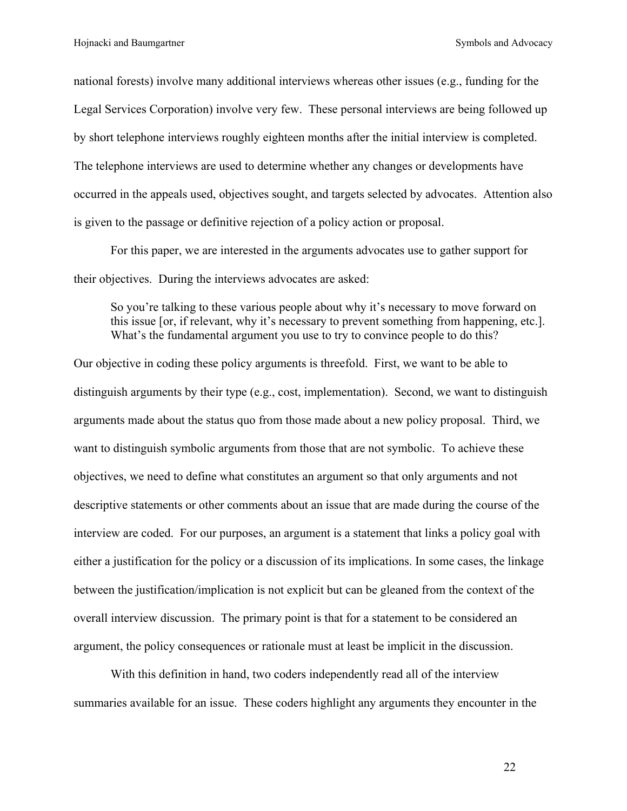national forests) involve many additional interviews whereas other issues (e.g., funding for the Legal Services Corporation) involve very few. These personal interviews are being followed up by short telephone interviews roughly eighteen months after the initial interview is completed. The telephone interviews are used to determine whether any changes or developments have occurred in the appeals used, objectives sought, and targets selected by advocates. Attention also is given to the passage or definitive rejection of a policy action or proposal.

For this paper, we are interested in the arguments advocates use to gather support for their objectives. During the interviews advocates are asked:

So you're talking to these various people about why it's necessary to move forward on this issue [or, if relevant, why it's necessary to prevent something from happening, etc.]. What's the fundamental argument you use to try to convince people to do this?

Our objective in coding these policy arguments is threefold. First, we want to be able to distinguish arguments by their type (e.g., cost, implementation). Second, we want to distinguish arguments made about the status quo from those made about a new policy proposal. Third, we want to distinguish symbolic arguments from those that are not symbolic. To achieve these objectives, we need to define what constitutes an argument so that only arguments and not descriptive statements or other comments about an issue that are made during the course of the interview are coded. For our purposes, an argument is a statement that links a policy goal with either a justification for the policy or a discussion of its implications. In some cases, the linkage between the justification/implication is not explicit but can be gleaned from the context of the overall interview discussion. The primary point is that for a statement to be considered an argument, the policy consequences or rationale must at least be implicit in the discussion.

With this definition in hand, two coders independently read all of the interview summaries available for an issue. These coders highlight any arguments they encounter in the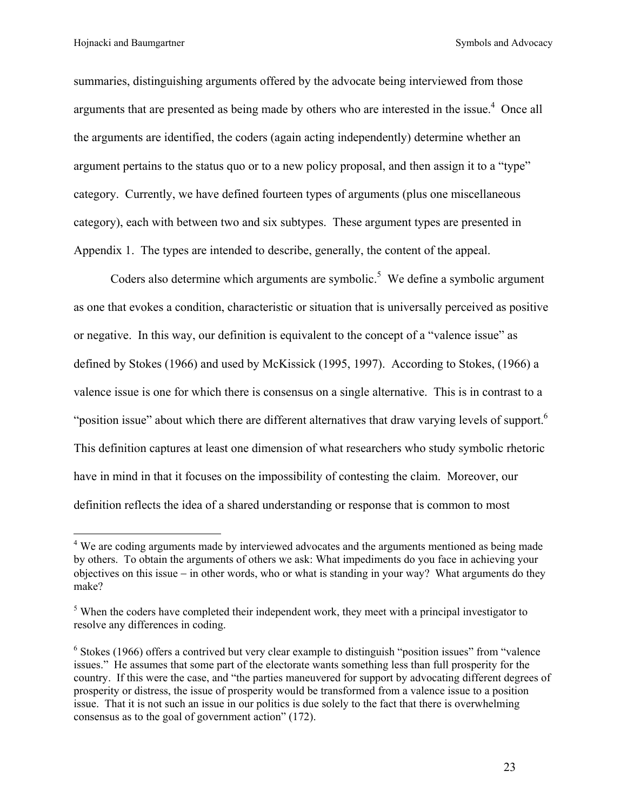1

summaries, distinguishing arguments offered by the advocate being interviewed from those arguments that are presented as being made by others who are interested in the issue.<sup>[4](#page-24-0)</sup> Once all the arguments are identified, the coders (again acting independently) determine whether an argument pertains to the status quo or to a new policy proposal, and then assign it to a "type" category. Currently, we have defined fourteen types of arguments (plus one miscellaneous category), each with between two and six subtypes. These argument types are presented in Appendix 1. The types are intended to describe, generally, the content of the appeal.

Coders also determine which arguments are symbolic.<sup>5</sup> We define a symbolic argument as one that evokes a condition, characteristic or situation that is universally perceived as positive or negative. In this way, our definition is equivalent to the concept of a "valence issue" as defined by Stokes (1966) and used by McKissick (1995, 1997). According to Stokes, (1966) a valence issue is one for which there is consensus on a single alternative. This is in contrast to a "position issue" about which there are different alternatives that draw varying levels of support.<sup>[6](#page-24-2)</sup> This definition captures at least one dimension of what researchers who study symbolic rhetoric have in mind in that it focuses on the impossibility of contesting the claim. Moreover, our definition reflects the idea of a shared understanding or response that is common to most

<span id="page-24-0"></span><sup>&</sup>lt;sup>4</sup> We are coding arguments made by interviewed advocates and the arguments mentioned as being made by others. To obtain the arguments of others we ask: What impediments do you face in achieving your objectives on this issue − in other words, who or what is standing in your way? What arguments do they make?

<span id="page-24-1"></span> $<sup>5</sup>$  When the coders have completed their independent work, they meet with a principal investigator to</sup> resolve any differences in coding.

<span id="page-24-2"></span><sup>&</sup>lt;sup>6</sup> Stokes (1966) offers a contrived but very clear example to distinguish "position issues" from "valence issues." He assumes that some part of the electorate wants something less than full prosperity for the country. If this were the case, and "the parties maneuvered for support by advocating different degrees of prosperity or distress, the issue of prosperity would be transformed from a valence issue to a position issue. That it is not such an issue in our politics is due solely to the fact that there is overwhelming consensus as to the goal of government action" (172).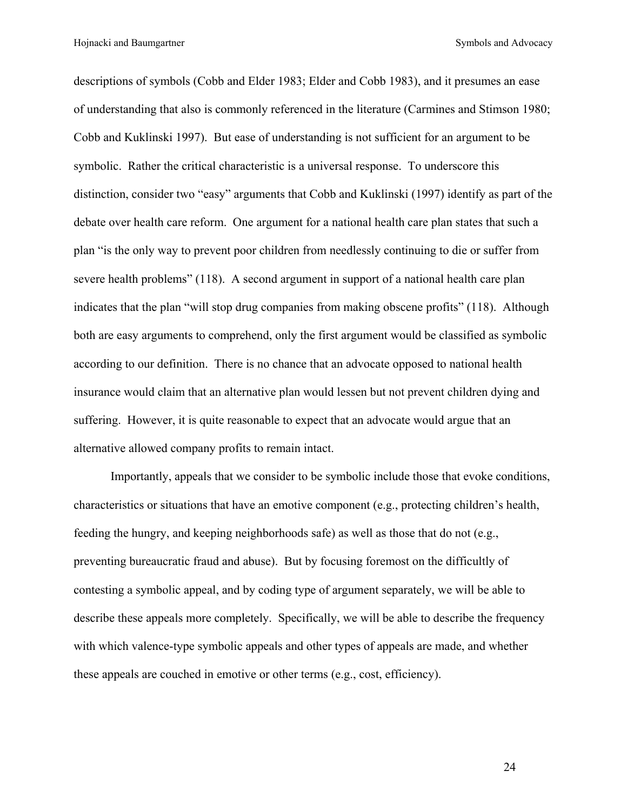descriptions of symbols (Cobb and Elder 1983; Elder and Cobb 1983), and it presumes an ease of understanding that also is commonly referenced in the literature (Carmines and Stimson 1980; Cobb and Kuklinski 1997). But ease of understanding is not sufficient for an argument to be symbolic. Rather the critical characteristic is a universal response. To underscore this distinction, consider two "easy" arguments that Cobb and Kuklinski (1997) identify as part of the debate over health care reform. One argument for a national health care plan states that such a plan "is the only way to prevent poor children from needlessly continuing to die or suffer from severe health problems" (118). A second argument in support of a national health care plan indicates that the plan "will stop drug companies from making obscene profits" (118). Although both are easy arguments to comprehend, only the first argument would be classified as symbolic according to our definition. There is no chance that an advocate opposed to national health insurance would claim that an alternative plan would lessen but not prevent children dying and suffering. However, it is quite reasonable to expect that an advocate would argue that an alternative allowed company profits to remain intact.

Importantly, appeals that we consider to be symbolic include those that evoke conditions, characteristics or situations that have an emotive component (e.g., protecting children's health, feeding the hungry, and keeping neighborhoods safe) as well as those that do not (e.g., preventing bureaucratic fraud and abuse). But by focusing foremost on the difficultly of contesting a symbolic appeal, and by coding type of argument separately, we will be able to describe these appeals more completely. Specifically, we will be able to describe the frequency with which valence-type symbolic appeals and other types of appeals are made, and whether these appeals are couched in emotive or other terms (e.g., cost, efficiency).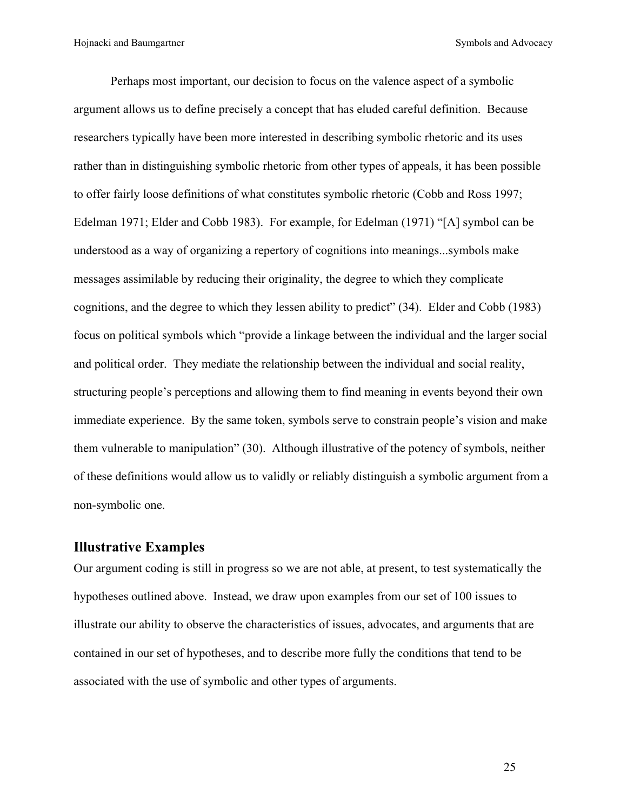Perhaps most important, our decision to focus on the valence aspect of a symbolic argument allows us to define precisely a concept that has eluded careful definition. Because researchers typically have been more interested in describing symbolic rhetoric and its uses rather than in distinguishing symbolic rhetoric from other types of appeals, it has been possible to offer fairly loose definitions of what constitutes symbolic rhetoric (Cobb and Ross 1997; Edelman 1971; Elder and Cobb 1983). For example, for Edelman (1971) "[A] symbol can be understood as a way of organizing a repertory of cognitions into meanings...symbols make messages assimilable by reducing their originality, the degree to which they complicate cognitions, and the degree to which they lessen ability to predict" (34). Elder and Cobb (1983) focus on political symbols which "provide a linkage between the individual and the larger social and political order. They mediate the relationship between the individual and social reality, structuring people's perceptions and allowing them to find meaning in events beyond their own immediate experience. By the same token, symbols serve to constrain people's vision and make them vulnerable to manipulation" (30). Although illustrative of the potency of symbols, neither of these definitions would allow us to validly or reliably distinguish a symbolic argument from a non-symbolic one.

# **Illustrative Examples**

Our argument coding is still in progress so we are not able, at present, to test systematically the hypotheses outlined above. Instead, we draw upon examples from our set of 100 issues to illustrate our ability to observe the characteristics of issues, advocates, and arguments that are contained in our set of hypotheses, and to describe more fully the conditions that tend to be associated with the use of symbolic and other types of arguments.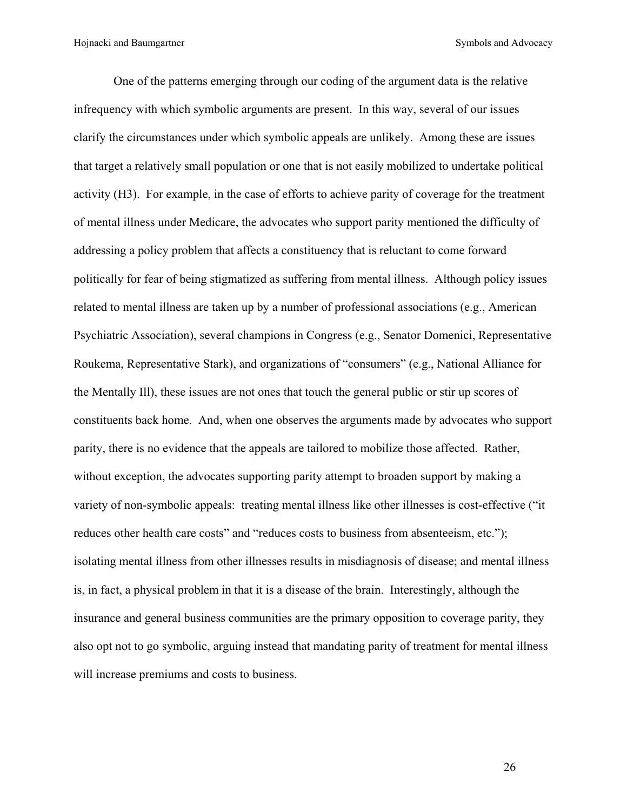One of the patterns emerging through our coding of the argument data is the relative infrequency with which symbolic arguments are present. In this way, several of our issues clarify the circumstances under which symbolic appeals are unlikely. Among these are issues that target a relatively small population or one that is not easily mobilized to undertake political activity (H3). For example, in the case of efforts to achieve parity of coverage for the treatment of mental illness under Medicare, the advocates who support parity mentioned the difficulty of addressing a policy problem that affects a constituency that is reluctant to come forward politically for fear of being stigmatized as suffering from mental illness. Although policy issues related to mental illness are taken up by a number of professional associations (e.g., American Psychiatric Association), several champions in Congress (e.g., Senator Domenici, Representative Roukema, Representative Stark), and organizations of "consumers" (e.g., National Alliance for the Mentally Ill), these issues are not ones that touch the general public or stir up scores of constituents back home. And, when one observes the arguments made by advocates who support parity, there is no evidence that the appeals are tailored to mobilize those affected. Rather, without exception, the advocates supporting parity attempt to broaden support by making a variety of non-symbolic appeals: treating mental illness like other illnesses is cost-effective ("it reduces other health care costs" and "reduces costs to business from absenteeism, etc."); isolating mental illness from other illnesses results in misdiagnosis of disease; and mental illness is, in fact, a physical problem in that it is a disease of the brain. Interestingly, although the insurance and general business communities are the primary opposition to coverage parity, they also opt not to go symbolic, arguing instead that mandating parity of treatment for mental illness will increase premiums and costs to business.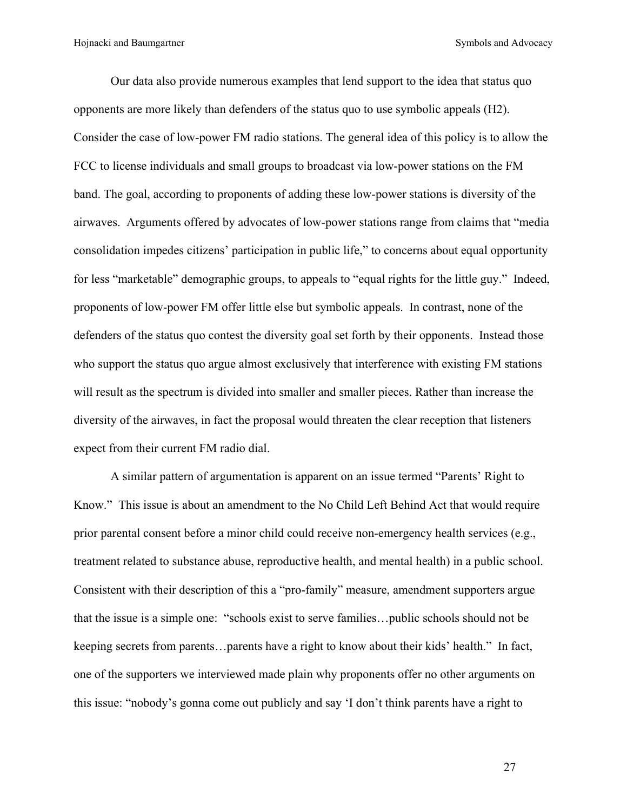Our data also provide numerous examples that lend support to the idea that status quo opponents are more likely than defenders of the status quo to use symbolic appeals (H2). Consider the case of low-power FM radio stations. The general idea of this policy is to allow the FCC to license individuals and small groups to broadcast via low-power stations on the FM band. The goal, according to proponents of adding these low-power stations is diversity of the airwaves. Arguments offered by advocates of low-power stations range from claims that "media consolidation impedes citizens' participation in public life," to concerns about equal opportunity for less "marketable" demographic groups, to appeals to "equal rights for the little guy." Indeed, proponents of low-power FM offer little else but symbolic appeals. In contrast, none of the defenders of the status quo contest the diversity goal set forth by their opponents. Instead those who support the status quo argue almost exclusively that interference with existing FM stations will result as the spectrum is divided into smaller and smaller pieces. Rather than increase the diversity of the airwaves, in fact the proposal would threaten the clear reception that listeners expect from their current FM radio dial.

A similar pattern of argumentation is apparent on an issue termed "Parents' Right to Know." This issue is about an amendment to the No Child Left Behind Act that would require prior parental consent before a minor child could receive non-emergency health services (e.g., treatment related to substance abuse, reproductive health, and mental health) in a public school. Consistent with their description of this a "pro-family" measure, amendment supporters argue that the issue is a simple one: "schools exist to serve families…public schools should not be keeping secrets from parents…parents have a right to know about their kids' health." In fact, one of the supporters we interviewed made plain why proponents offer no other arguments on this issue: "nobody's gonna come out publicly and say 'I don't think parents have a right to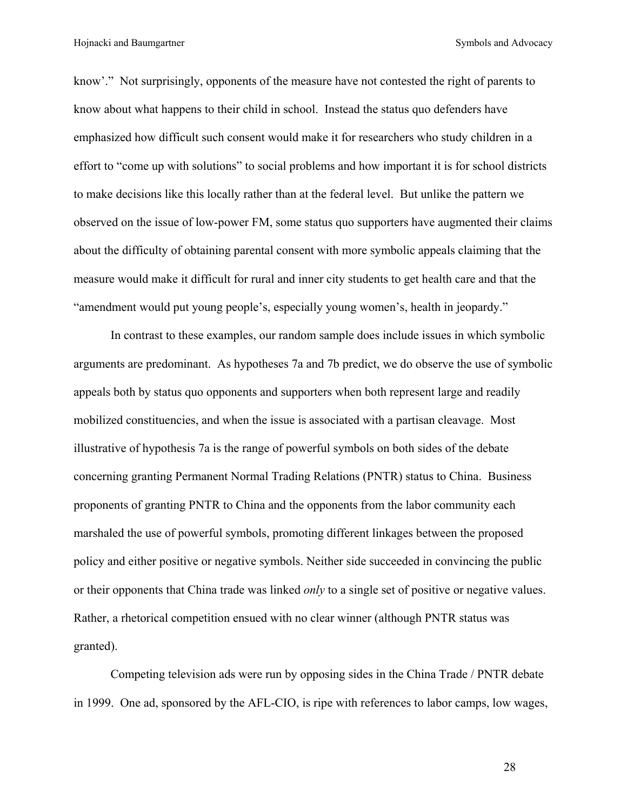know'." Not surprisingly, opponents of the measure have not contested the right of parents to know about what happens to their child in school. Instead the status quo defenders have emphasized how difficult such consent would make it for researchers who study children in a effort to "come up with solutions" to social problems and how important it is for school districts to make decisions like this locally rather than at the federal level. But unlike the pattern we observed on the issue of low-power FM, some status quo supporters have augmented their claims about the difficulty of obtaining parental consent with more symbolic appeals claiming that the measure would make it difficult for rural and inner city students to get health care and that the "amendment would put young people's, especially young women's, health in jeopardy."

In contrast to these examples, our random sample does include issues in which symbolic arguments are predominant. As hypotheses 7a and 7b predict, we do observe the use of symbolic appeals both by status quo opponents and supporters when both represent large and readily mobilized constituencies, and when the issue is associated with a partisan cleavage. Most illustrative of hypothesis 7a is the range of powerful symbols on both sides of the debate concerning granting Permanent Normal Trading Relations (PNTR) status to China. Business proponents of granting PNTR to China and the opponents from the labor community each marshaled the use of powerful symbols, promoting different linkages between the proposed policy and either positive or negative symbols. Neither side succeeded in convincing the public or their opponents that China trade was linked *only* to a single set of positive or negative values. Rather, a rhetorical competition ensued with no clear winner (although PNTR status was granted).

Competing television ads were run by opposing sides in the China Trade / PNTR debate in 1999. One ad, sponsored by the AFL-CIO, is ripe with references to labor camps, low wages,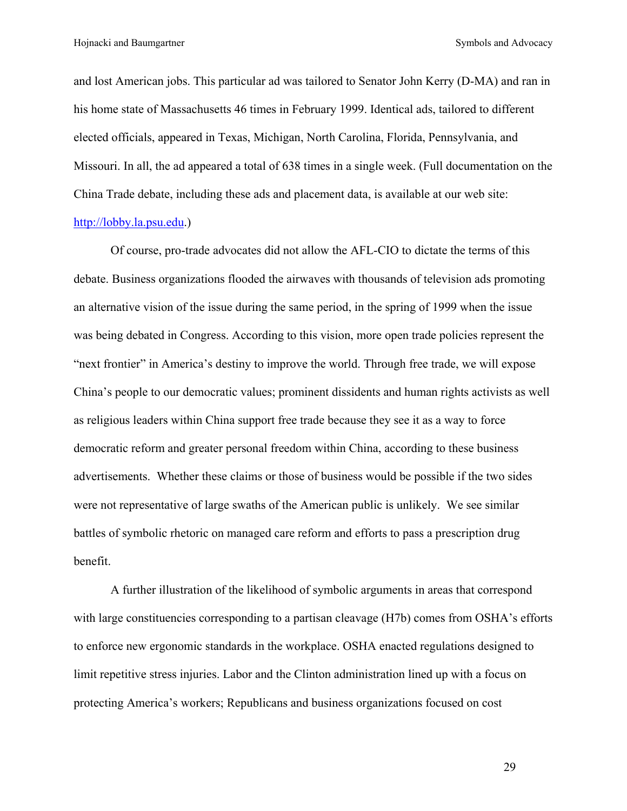and lost American jobs. This particular ad was tailored to Senator John Kerry (D-MA) and ran in his home state of Massachusetts 46 times in February 1999. Identical ads, tailored to different elected officials, appeared in Texas, Michigan, North Carolina, Florida, Pennsylvania, and Missouri. In all, the ad appeared a total of 638 times in a single week. (Full documentation on the China Trade debate, including these ads and placement data, is available at our web site: [http://lobby.la.psu.edu.](http://lobby.la.psu.edu/))

Of course, pro-trade advocates did not allow the AFL-CIO to dictate the terms of this debate. Business organizations flooded the airwaves with thousands of television ads promoting an alternative vision of the issue during the same period, in the spring of 1999 when the issue was being debated in Congress. According to this vision, more open trade policies represent the "next frontier" in America's destiny to improve the world. Through free trade, we will expose China's people to our democratic values; prominent dissidents and human rights activists as well as religious leaders within China support free trade because they see it as a way to force democratic reform and greater personal freedom within China, according to these business advertisements. Whether these claims or those of business would be possible if the two sides were not representative of large swaths of the American public is unlikely. We see similar battles of symbolic rhetoric on managed care reform and efforts to pass a prescription drug benefit.

A further illustration of the likelihood of symbolic arguments in areas that correspond with large constituencies corresponding to a partisan cleavage (H7b) comes from OSHA's efforts to enforce new ergonomic standards in the workplace. OSHA enacted regulations designed to limit repetitive stress injuries. Labor and the Clinton administration lined up with a focus on protecting America's workers; Republicans and business organizations focused on cost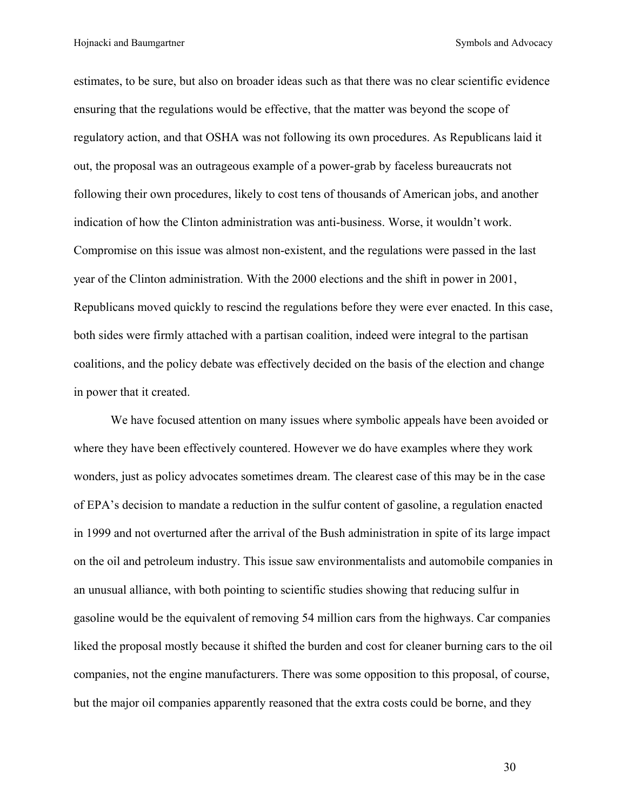estimates, to be sure, but also on broader ideas such as that there was no clear scientific evidence ensuring that the regulations would be effective, that the matter was beyond the scope of regulatory action, and that OSHA was not following its own procedures. As Republicans laid it out, the proposal was an outrageous example of a power-grab by faceless bureaucrats not following their own procedures, likely to cost tens of thousands of American jobs, and another indication of how the Clinton administration was anti-business. Worse, it wouldn't work. Compromise on this issue was almost non-existent, and the regulations were passed in the last year of the Clinton administration. With the 2000 elections and the shift in power in 2001, Republicans moved quickly to rescind the regulations before they were ever enacted. In this case, both sides were firmly attached with a partisan coalition, indeed were integral to the partisan coalitions, and the policy debate was effectively decided on the basis of the election and change in power that it created.

We have focused attention on many issues where symbolic appeals have been avoided or where they have been effectively countered. However we do have examples where they work wonders, just as policy advocates sometimes dream. The clearest case of this may be in the case of EPA's decision to mandate a reduction in the sulfur content of gasoline, a regulation enacted in 1999 and not overturned after the arrival of the Bush administration in spite of its large impact on the oil and petroleum industry. This issue saw environmentalists and automobile companies in an unusual alliance, with both pointing to scientific studies showing that reducing sulfur in gasoline would be the equivalent of removing 54 million cars from the highways. Car companies liked the proposal mostly because it shifted the burden and cost for cleaner burning cars to the oil companies, not the engine manufacturers. There was some opposition to this proposal, of course, but the major oil companies apparently reasoned that the extra costs could be borne, and they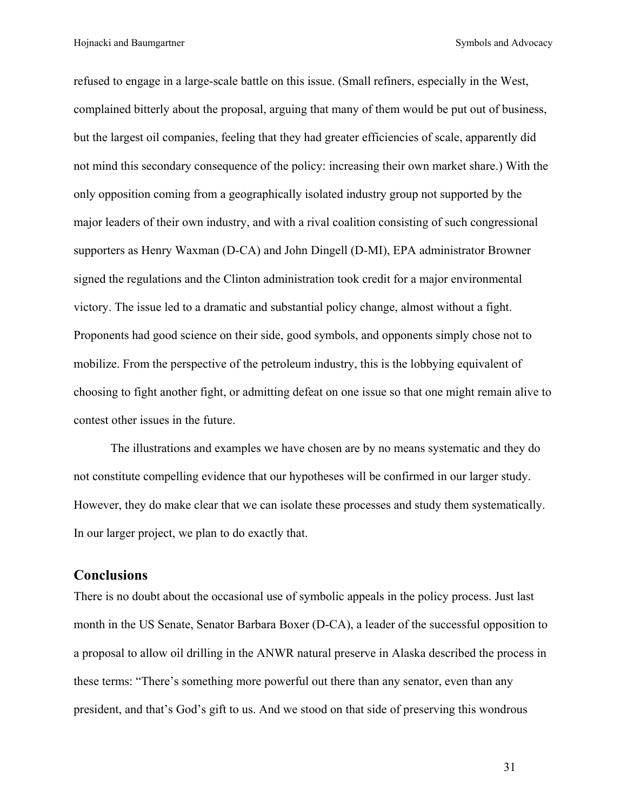Hojnacki and Baumgartner Symbols and Advocacy

refused to engage in a large-scale battle on this issue. (Small refiners, especially in the West, complained bitterly about the proposal, arguing that many of them would be put out of business, but the largest oil companies, feeling that they had greater efficiencies of scale, apparently did not mind this secondary consequence of the policy: increasing their own market share.) With the only opposition coming from a geographically isolated industry group not supported by the major leaders of their own industry, and with a rival coalition consisting of such congressional supporters as Henry Waxman (D-CA) and John Dingell (D-MI), EPA administrator Browner signed the regulations and the Clinton administration took credit for a major environmental victory. The issue led to a dramatic and substantial policy change, almost without a fight. Proponents had good science on their side, good symbols, and opponents simply chose not to mobilize. From the perspective of the petroleum industry, this is the lobbying equivalent of choosing to fight another fight, or admitting defeat on one issue so that one might remain alive to contest other issues in the future.

The illustrations and examples we have chosen are by no means systematic and they do not constitute compelling evidence that our hypotheses will be confirmed in our larger study. However, they do make clear that we can isolate these processes and study them systematically. In our larger project, we plan to do exactly that.

#### **Conclusions**

There is no doubt about the occasional use of symbolic appeals in the policy process. Just last month in the US Senate, Senator Barbara Boxer (D-CA), a leader of the successful opposition to a proposal to allow oil drilling in the ANWR natural preserve in Alaska described the process in these terms: "There's something more powerful out there than any senator, even than any president, and that's God's gift to us. And we stood on that side of preserving this wondrous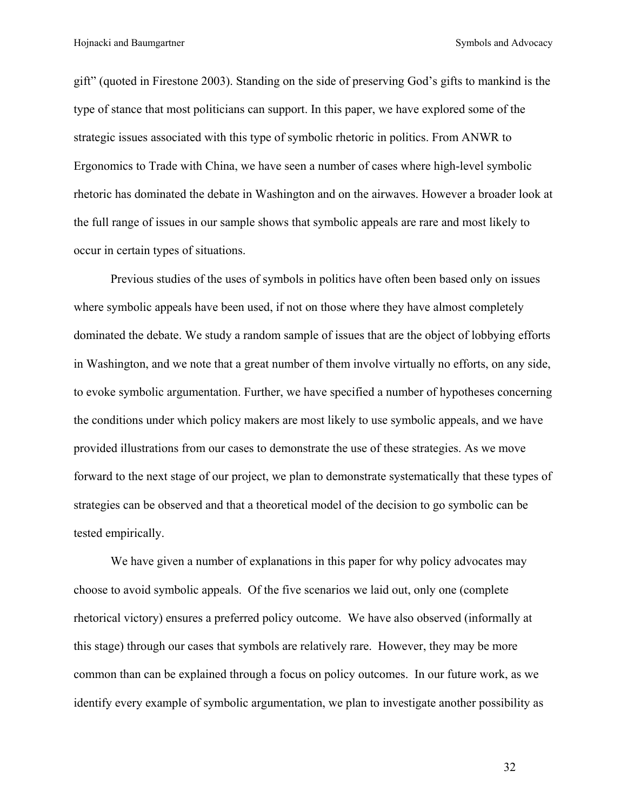gift" (quoted in Firestone 2003). Standing on the side of preserving God's gifts to mankind is the type of stance that most politicians can support. In this paper, we have explored some of the strategic issues associated with this type of symbolic rhetoric in politics. From ANWR to Ergonomics to Trade with China, we have seen a number of cases where high-level symbolic rhetoric has dominated the debate in Washington and on the airwaves. However a broader look at the full range of issues in our sample shows that symbolic appeals are rare and most likely to occur in certain types of situations.

Previous studies of the uses of symbols in politics have often been based only on issues where symbolic appeals have been used, if not on those where they have almost completely dominated the debate. We study a random sample of issues that are the object of lobbying efforts in Washington, and we note that a great number of them involve virtually no efforts, on any side, to evoke symbolic argumentation. Further, we have specified a number of hypotheses concerning the conditions under which policy makers are most likely to use symbolic appeals, and we have provided illustrations from our cases to demonstrate the use of these strategies. As we move forward to the next stage of our project, we plan to demonstrate systematically that these types of strategies can be observed and that a theoretical model of the decision to go symbolic can be tested empirically.

We have given a number of explanations in this paper for why policy advocates may choose to avoid symbolic appeals. Of the five scenarios we laid out, only one (complete rhetorical victory) ensures a preferred policy outcome. We have also observed (informally at this stage) through our cases that symbols are relatively rare. However, they may be more common than can be explained through a focus on policy outcomes. In our future work, as we identify every example of symbolic argumentation, we plan to investigate another possibility as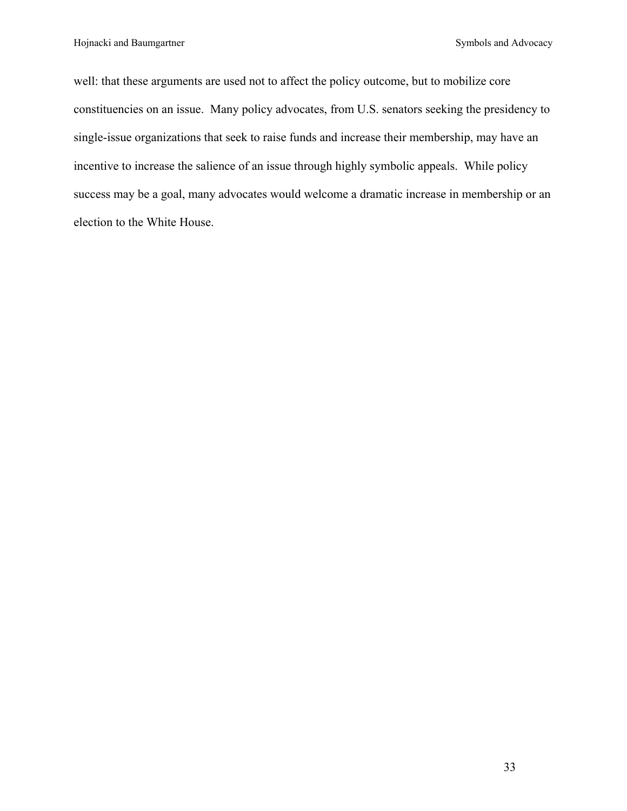well: that these arguments are used not to affect the policy outcome, but to mobilize core constituencies on an issue. Many policy advocates, from U.S. senators seeking the presidency to single-issue organizations that seek to raise funds and increase their membership, may have an incentive to increase the salience of an issue through highly symbolic appeals. While policy success may be a goal, many advocates would welcome a dramatic increase in membership or an election to the White House.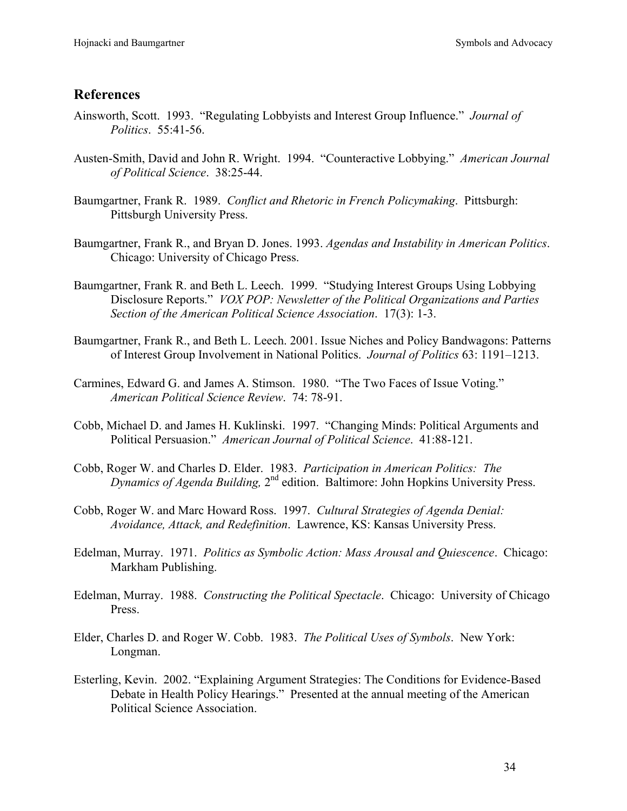# **References**

- Ainsworth, Scott. 1993. "Regulating Lobbyists and Interest Group Influence." *Journal of Politics*. 55:41-56.
- Austen-Smith, David and John R. Wright. 1994. "Counteractive Lobbying." *American Journal of Political Science*. 38:25-44.
- Baumgartner, Frank R. 1989. *Conflict and Rhetoric in French Policymaking*. Pittsburgh: Pittsburgh University Press.
- Baumgartner, Frank R., and Bryan D. Jones. 1993. *Agendas and Instability in American Politics*. Chicago: University of Chicago Press.
- Baumgartner, Frank R. and Beth L. Leech. 1999. "Studying Interest Groups Using Lobbying Disclosure Reports." *VOX POP: Newsletter of the Political Organizations and Parties Section of the American Political Science Association*. 17(3): 1-3.
- Baumgartner, Frank R., and Beth L. Leech. 2001. Issue Niches and Policy Bandwagons: Patterns of Interest Group Involvement in National Politics. *Journal of Politics* 63: 1191–1213.
- Carmines, Edward G. and James A. Stimson. 1980. "The Two Faces of Issue Voting." *American Political Science Review*. 74: 78-91.
- Cobb, Michael D. and James H. Kuklinski. 1997. "Changing Minds: Political Arguments and Political Persuasion." *American Journal of Political Science*. 41:88-121.
- Cobb, Roger W. and Charles D. Elder. 1983. *Participation in American Politics: The Dynamics of Agenda Building,* 2nd edition. Baltimore: John Hopkins University Press.
- Cobb, Roger W. and Marc Howard Ross. 1997. *Cultural Strategies of Agenda Denial: Avoidance, Attack, and Redefinition*. Lawrence, KS: Kansas University Press.
- Edelman, Murray. 1971. *Politics as Symbolic Action: Mass Arousal and Quiescence*. Chicago: Markham Publishing.
- Edelman, Murray. 1988. *Constructing the Political Spectacle*. Chicago: University of Chicago Press.
- Elder, Charles D. and Roger W. Cobb. 1983. *The Political Uses of Symbols*. New York: Longman.
- Esterling, Kevin. 2002. "Explaining Argument Strategies: The Conditions for Evidence-Based Debate in Health Policy Hearings." Presented at the annual meeting of the American Political Science Association.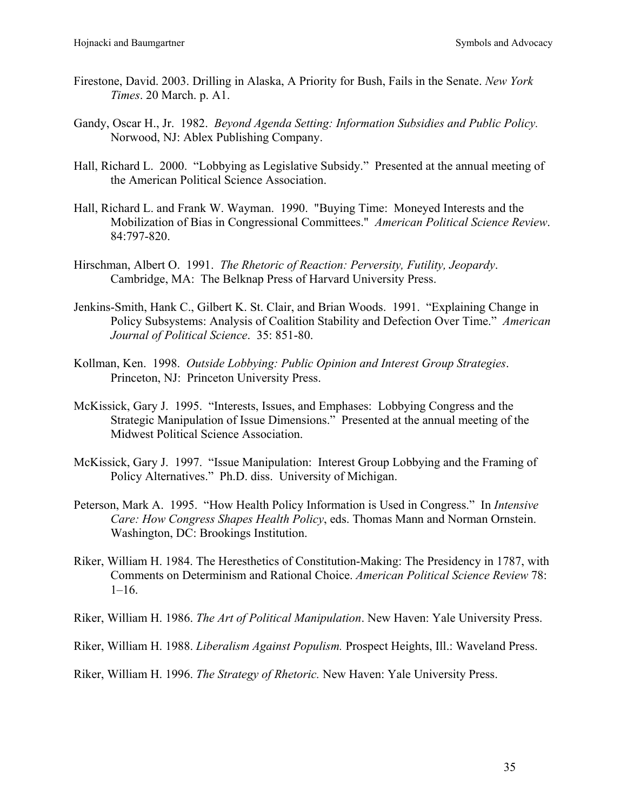- Firestone, David. 2003. Drilling in Alaska, A Priority for Bush, Fails in the Senate. *New York Times*. 20 March. p. A1.
- Gandy, Oscar H., Jr. 1982. *Beyond Agenda Setting: Information Subsidies and Public Policy.* Norwood, NJ: Ablex Publishing Company.
- Hall, Richard L. 2000. "Lobbying as Legislative Subsidy." Presented at the annual meeting of the American Political Science Association.
- Hall, Richard L. and Frank W. Wayman. 1990. "Buying Time: Moneyed Interests and the Mobilization of Bias in Congressional Committees." *American Political Science Review*. 84:797-820.
- Hirschman, Albert O. 1991. *The Rhetoric of Reaction: Perversity, Futility, Jeopardy*. Cambridge, MA: The Belknap Press of Harvard University Press.
- Jenkins-Smith, Hank C., Gilbert K. St. Clair, and Brian Woods. 1991. "Explaining Change in Policy Subsystems: Analysis of Coalition Stability and Defection Over Time." *American Journal of Political Science*. 35: 851-80.
- Kollman, Ken. 1998. *Outside Lobbying: Public Opinion and Interest Group Strategies*. Princeton, NJ: Princeton University Press.
- McKissick, Gary J. 1995. "Interests, Issues, and Emphases: Lobbying Congress and the Strategic Manipulation of Issue Dimensions." Presented at the annual meeting of the Midwest Political Science Association.
- McKissick, Gary J. 1997. "Issue Manipulation: Interest Group Lobbying and the Framing of Policy Alternatives." Ph.D. diss. University of Michigan.
- Peterson, Mark A. 1995. "How Health Policy Information is Used in Congress." In *Intensive Care: How Congress Shapes Health Policy*, eds. Thomas Mann and Norman Ornstein. Washington, DC: Brookings Institution.
- Riker, William H. 1984. The Heresthetics of Constitution-Making: The Presidency in 1787, with Comments on Determinism and Rational Choice. *American Political Science Review* 78:  $1-16.$
- Riker, William H. 1986. *The Art of Political Manipulation*. New Haven: Yale University Press.
- Riker, William H. 1988. *Liberalism Against Populism.* Prospect Heights, Ill.: Waveland Press.

Riker, William H. 1996. *The Strategy of Rhetoric.* New Haven: Yale University Press.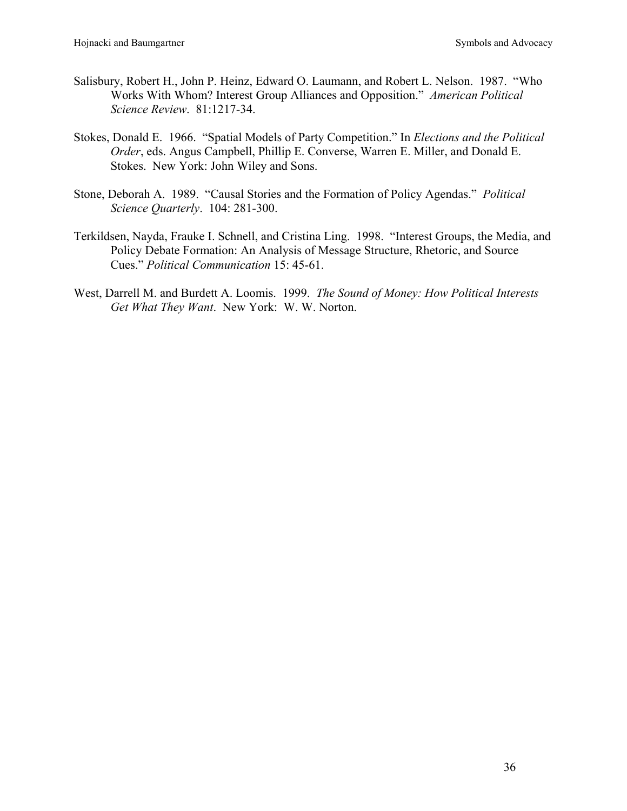- Salisbury, Robert H., John P. Heinz, Edward O. Laumann, and Robert L. Nelson. 1987. "Who Works With Whom? Interest Group Alliances and Opposition." *American Political Science Review*. 81:1217-34.
- Stokes, Donald E. 1966. "Spatial Models of Party Competition." In *Elections and the Political Order*, eds. Angus Campbell, Phillip E. Converse, Warren E. Miller, and Donald E. Stokes. New York: John Wiley and Sons.
- Stone, Deborah A. 1989. "Causal Stories and the Formation of Policy Agendas." *Political Science Quarterly*. 104: 281-300.
- Terkildsen, Nayda, Frauke I. Schnell, and Cristina Ling. 1998. "Interest Groups, the Media, and Policy Debate Formation: An Analysis of Message Structure, Rhetoric, and Source Cues." *Political Communication* 15: 45-61.
- West, Darrell M. and Burdett A. Loomis. 1999. *The Sound of Money: How Political Interests Get What They Want*. New York: W. W. Norton.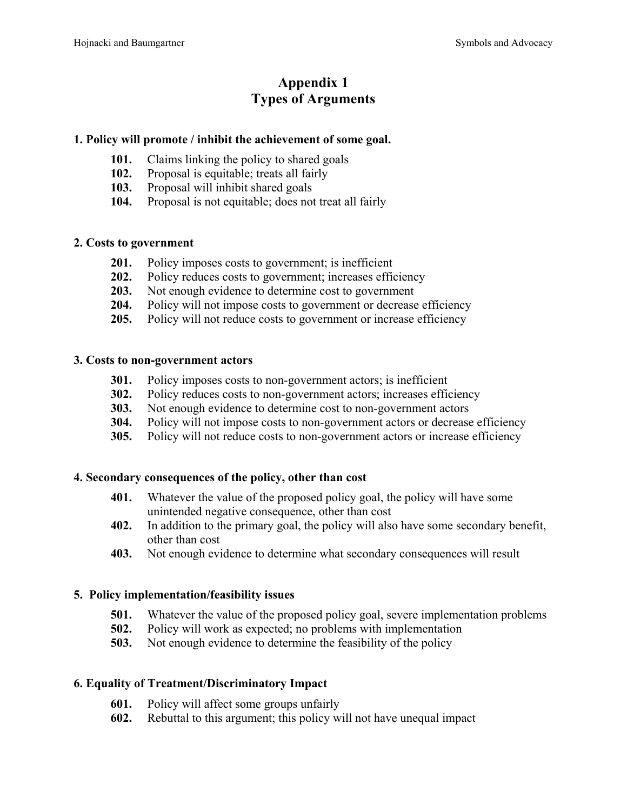# **Appendix 1 Types of Arguments**

# **1. Policy will promote / inhibit the achievement of some goal.**

- **101.** Claims linking the policy to shared goals
- **102.** Proposal is equitable; treats all fairly
- **103.** Proposal will inhibit shared goals
- **104.** Proposal is not equitable; does not treat all fairly

## **2. Costs to government**

- 201. Policy imposes costs to government; is inefficient
- **202.** Policy reduces costs to government; increases efficiency
- **203.** Not enough evidence to determine cost to government
- **204.** Policy will not impose costs to government or decrease efficiency
- **205.** Policy will not reduce costs to government or increase efficiency

## **3. Costs to non-government actors**

- **301.** Policy imposes costs to non-government actors; is inefficient
- **302.** Policy reduces costs to non-government actors; increases efficiency
- **303.** Not enough evidence to determine cost to non-government actors
- **304.** Policy will not impose costs to non-government actors or decrease efficiency
- **305.** Policy will not reduce costs to non-government actors or increase efficiency

## **4. Secondary consequences of the policy, other than cost**

- **401.** Whatever the value of the proposed policy goal, the policy will have some unintended negative consequence, other than cost
- **402.** In addition to the primary goal, the policy will also have some secondary benefit, other than cost
- **403.** Not enough evidence to determine what secondary consequences will result

## **5. Policy implementation/feasibility issues**

- **501.** Whatever the value of the proposed policy goal, severe implementation problems
- **502.** Policy will work as expected; no problems with implementation
- **503.** Not enough evidence to determine the feasibility of the policy

## **6. Equality of Treatment/Discriminatory Impact**

- **601.** Policy will affect some groups unfairly
- **602.** Rebuttal to this argument; this policy will not have unequal impact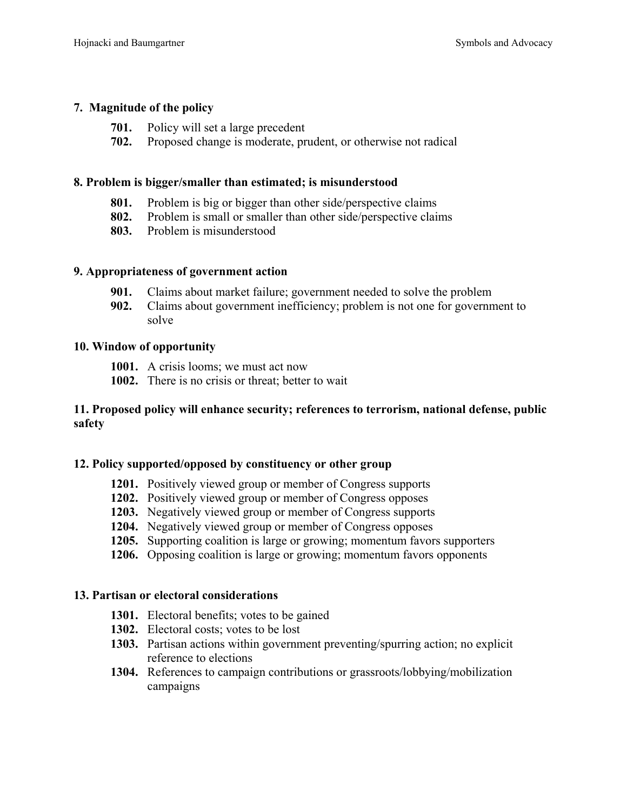## **7. Magnitude of the policy**

- **701.** Policy will set a large precedent
- **702.** Proposed change is moderate, prudent, or otherwise not radical

#### **8. Problem is bigger/smaller than estimated; is misunderstood**

- **801.** Problem is big or bigger than other side/perspective claims
- **802.** Problem is small or smaller than other side/perspective claims
- **803.** Problem is misunderstood

#### **9. Appropriateness of government action**

- **901.** Claims about market failure; government needed to solve the problem
- **902.** Claims about government inefficiency; problem is not one for government to solve

#### **10. Window of opportunity**

- **1001.** A crisis looms; we must act now
- **1002.** There is no crisis or threat; better to wait

#### **11. Proposed policy will enhance security; references to terrorism, national defense, public safety**

## **12. Policy supported/opposed by constituency or other group**

- **1201.** Positively viewed group or member of Congress supports
- **1202.** Positively viewed group or member of Congress opposes
- **1203.** Negatively viewed group or member of Congress supports
- **1204.** Negatively viewed group or member of Congress opposes
- **1205.** Supporting coalition is large or growing; momentum favors supporters
- **1206.** Opposing coalition is large or growing; momentum favors opponents

#### **13. Partisan or electoral considerations**

- **1301.** Electoral benefits; votes to be gained
- **1302.** Electoral costs; votes to be lost
- **1303.** Partisan actions within government preventing/spurring action; no explicit reference to elections
- **1304.** References to campaign contributions or grassroots/lobbying/mobilization campaigns